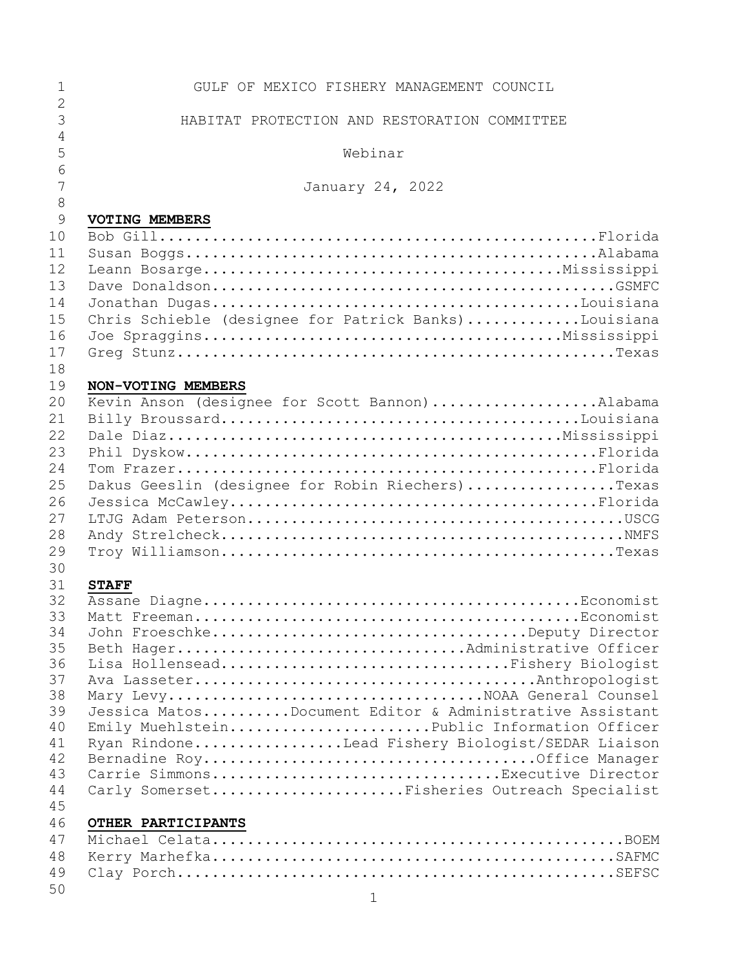| $\mathbf{1}$<br>$\overline{2}$ | GULF OF MEXICO FISHERY MANAGEMENT COUNCIL                                       |
|--------------------------------|---------------------------------------------------------------------------------|
| 3                              | HABITAT PROTECTION AND RESTORATION COMMITTEE                                    |
| $\overline{4}$                 |                                                                                 |
| 5                              | Webinar                                                                         |
| 6                              |                                                                                 |
| 7                              | January 24, 2022                                                                |
| 8<br>9                         | <b>VOTING MEMBERS</b>                                                           |
| 10                             |                                                                                 |
| 11                             |                                                                                 |
| 12                             |                                                                                 |
| 13                             |                                                                                 |
| 14                             |                                                                                 |
| 15                             | Chris Schieble (designee for Patrick Banks)Louisiana                            |
| 16                             |                                                                                 |
| 17                             |                                                                                 |
| 18                             |                                                                                 |
| 19                             | NON-VOTING MEMBERS                                                              |
| 20                             | Kevin Anson (designee for Scott Bannon)Alabama                                  |
| 21                             |                                                                                 |
| 22<br>23                       |                                                                                 |
| 24                             |                                                                                 |
| 25                             | Dakus Geeslin (designee for Robin Riechers)Texas                                |
| 26                             |                                                                                 |
| 27                             |                                                                                 |
| 28                             |                                                                                 |
| 29                             |                                                                                 |
| 30                             |                                                                                 |
| 31                             | <b>STAFF</b>                                                                    |
| 32                             |                                                                                 |
| 33                             |                                                                                 |
| 34<br>35                       | John FroeschkeDeputy Director<br>Beth HagerAdministrative Officer               |
| 36                             | Lisa HollenseadFishery Biologist                                                |
| 37                             |                                                                                 |
| 38                             |                                                                                 |
| 39                             | Jessica MatosDocument Editor & Administrative Assistant                         |
| 40                             | Emily MuehlsteinPublic Information Officer                                      |
| 41                             | Ryan RindoneLead Fishery Biologist/SEDAR Liaison                                |
| 42                             |                                                                                 |
| 43<br>44                       | Carrie SimmonsExecutive Director<br>Carly SomersetFisheries Outreach Specialist |
| 45                             |                                                                                 |
| 46                             | OTHER PARTICIPANTS                                                              |
| 47                             |                                                                                 |
| 48                             |                                                                                 |
| 49                             |                                                                                 |
| 50                             |                                                                                 |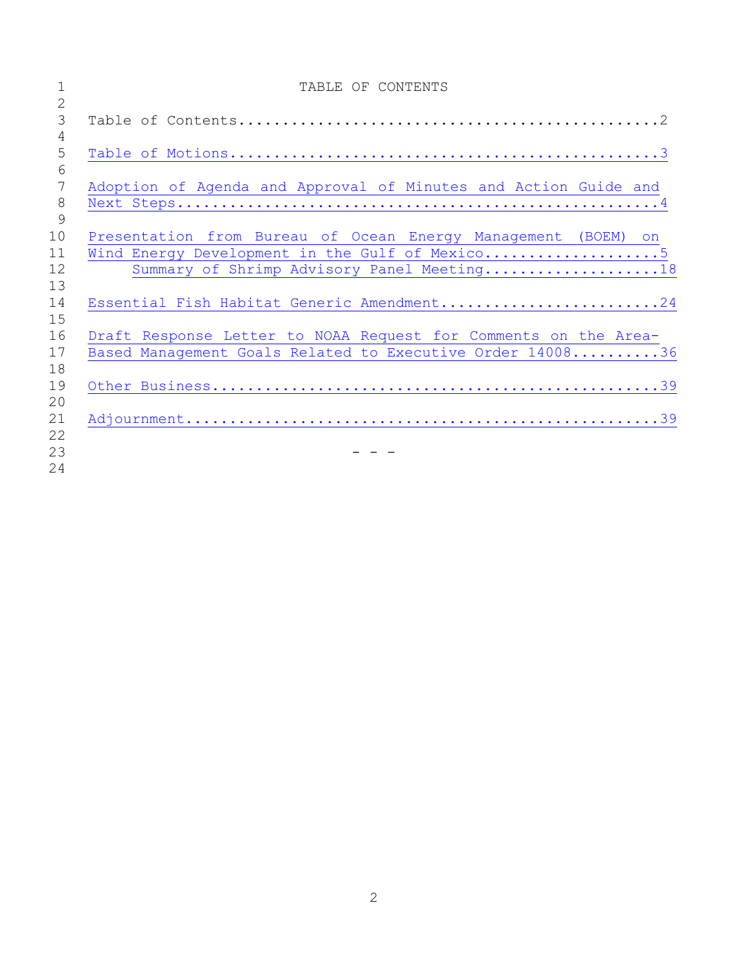|                | TABLE OF CONTENTS                                               |
|----------------|-----------------------------------------------------------------|
| $\overline{2}$ |                                                                 |
| $\mathfrak{Z}$ |                                                                 |
| $\overline{4}$ |                                                                 |
| 5              |                                                                 |
| 6              |                                                                 |
| 7              | Adoption of Agenda and Approval of Minutes and Action Guide and |
| $\,8\,$        |                                                                 |
| 9              |                                                                 |
| 10             | Presentation from Bureau of Ocean Energy Management (BOEM) on   |
| 11             | Wind Energy Development in the Gulf of Mexico5                  |
| 12             | Summary of Shrimp Advisory Panel Meeting18                      |
| 13             |                                                                 |
| 14             | Essential Fish Habitat Generic Amendment24                      |
| 15             |                                                                 |
| 16             | Draft Response Letter to NOAA Request for Comments on the Area- |
| 17             | Based Management Goals Related to Executive Order 1400836       |
| 18             |                                                                 |
| 19             |                                                                 |
| 20             |                                                                 |
| 21             |                                                                 |
| 22             |                                                                 |
| 23             |                                                                 |
| 24             |                                                                 |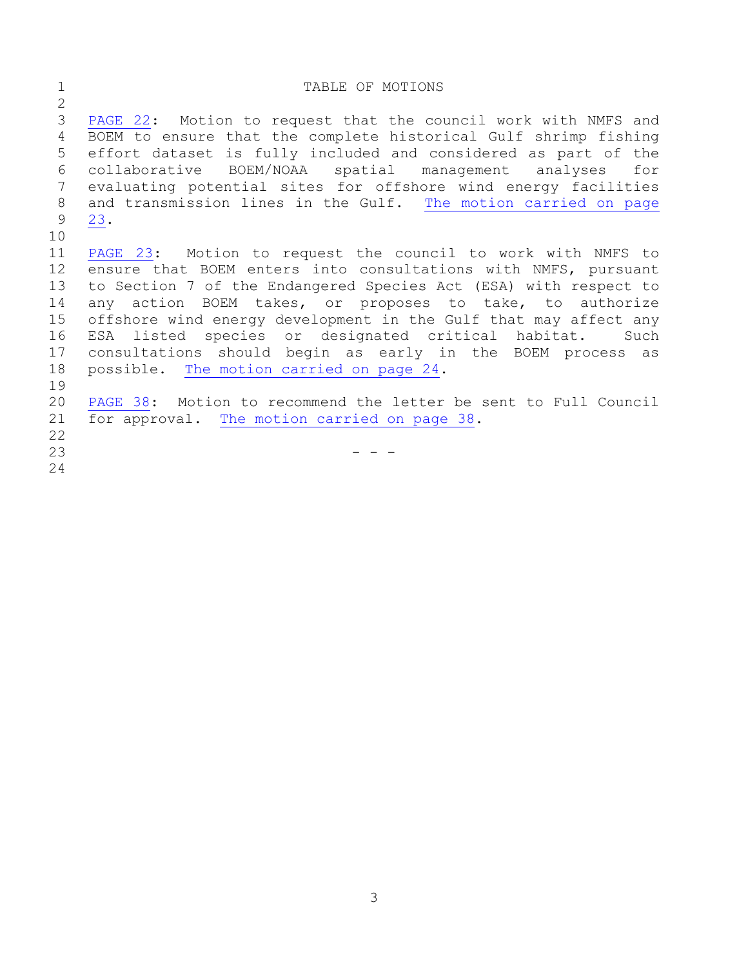### <span id="page-2-0"></span>1 TABLE OF MOTIONS [PAGE](#page-21-0) 22: Motion to request that the council work with NMFS and BOEM to ensure that the complete historical Gulf shrimp fishing effort dataset is fully included and considered as part of the collaborative BOEM/NOAA spatial management analyses for evaluating potential sites for offshore wind energy facilities and transmission lines in the Gulf. The motion [carried](#page-22-0) on page [23.](#page-22-0) [PAGE](#page-22-1) 23: Motion to request the council to work with NMFS to ensure that BOEM enters into consultations with NMFS, pursuant to Section 7 of the Endangered Species Act (ESA) with respect to any action BOEM takes, or proposes to take, to authorize offshore wind energy development in the Gulf that may affect any ESA listed species or designated critical habitat. Such consultations should begin as early in the BOEM process as possible. The motion [carried](#page-23-1) on page 24. [PAGE](#page-37-0) 38: Motion to recommend the letter be sent to Full Council for approval. The motion [carried](#page-37-1) on page 38.  $-$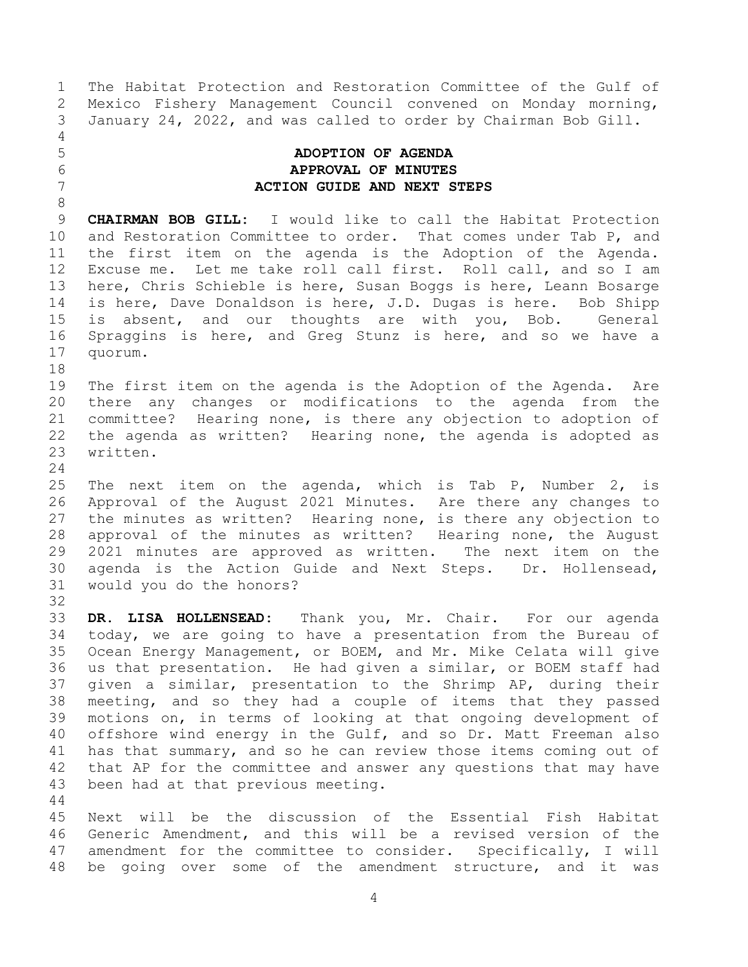Mexico Fishery Management Council convened on Monday morning, January 24, 2022, and was called to order by Chairman Bob Gill.

# 

#### <span id="page-3-0"></span> **ADOPTION OF AGENDA APPROVAL OF MINUTES ACTION GUIDE AND NEXT STEPS**

The Habitat Protection and Restoration Committee of the Gulf of

 **CHAIRMAN BOB GILL:** I would like to call the Habitat Protection and Restoration Committee to order. That comes under Tab P, and the first item on the agenda is the Adoption of the Agenda. Excuse me. Let me take roll call first. Roll call, and so I am here, Chris Schieble is here, Susan Boggs is here, Leann Bosarge is here, Dave Donaldson is here, J.D. Dugas is here. Bob Shipp is absent, and our thoughts are with you, Bob. General Spraggins is here, and Greg Stunz is here, and so we have a quorum.

 The first item on the agenda is the Adoption of the Agenda. Are there any changes or modifications to the agenda from the committee? Hearing none, is there any objection to adoption of the agenda as written? Hearing none, the agenda is adopted as written.

 The next item on the agenda, which is Tab P, Number 2, is Approval of the August 2021 Minutes. Are there any changes to the minutes as written? Hearing none, is there any objection to approval of the minutes as written? Hearing none, the August 2021 minutes are approved as written. The next item on the agenda is the Action Guide and Next Steps. Dr. Hollensead, would you do the honors? 

 **DR. LISA HOLLENSEAD:** Thank you, Mr. Chair. For our agenda today, we are going to have a presentation from the Bureau of Ocean Energy Management, or BOEM, and Mr. Mike Celata will give us that presentation. He had given a similar, or BOEM staff had given a similar, presentation to the Shrimp AP, during their meeting, and so they had a couple of items that they passed motions on, in terms of looking at that ongoing development of offshore wind energy in the Gulf, and so Dr. Matt Freeman also has that summary, and so he can review those items coming out of that AP for the committee and answer any questions that may have been had at that previous meeting.

 Next will be the discussion of the Essential Fish Habitat Generic Amendment, and this will be a revised version of the amendment for the committee to consider. Specifically, I will be going over some of the amendment structure, and it was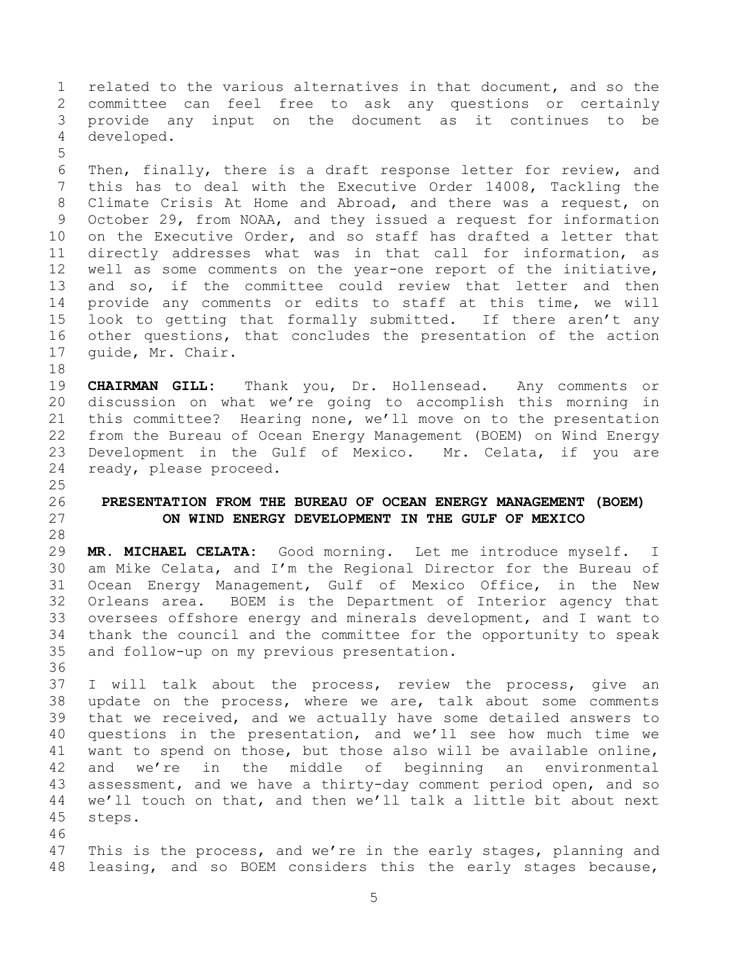related to the various alternatives in that document, and so the committee can feel free to ask any questions or certainly provide any input on the document as it continues to be developed.

 Then, finally, there is a draft response letter for review, and this has to deal with the Executive Order 14008, Tackling the Climate Crisis At Home and Abroad, and there was a request, on October 29, from NOAA, and they issued a request for information on the Executive Order, and so staff has drafted a letter that directly addresses what was in that call for information, as well as some comments on the year-one report of the initiative, and so, if the committee could review that letter and then provide any comments or edits to staff at this time, we will look to getting that formally submitted. If there aren't any other questions, that concludes the presentation of the action guide, Mr. Chair.

 **CHAIRMAN GILL:** Thank you, Dr. Hollensead. Any comments or discussion on what we're going to accomplish this morning in this committee? Hearing none, we'll move on to the presentation from the Bureau of Ocean Energy Management (BOEM) on Wind Energy Development in the Gulf of Mexico. Mr. Celata, if you are ready, please proceed.

#### <span id="page-4-0"></span> **PRESENTATION FROM THE BUREAU OF OCEAN ENERGY MANAGEMENT (BOEM) ON WIND ENERGY DEVELOPMENT IN THE GULF OF MEXICO**

 **MR. MICHAEL CELATA:** Good morning. Let me introduce myself. I am Mike Celata, and I'm the Regional Director for the Bureau of Ocean Energy Management, Gulf of Mexico Office, in the New Orleans area. BOEM is the Department of Interior agency that oversees offshore energy and minerals development, and I want to thank the council and the committee for the opportunity to speak and follow-up on my previous presentation.

 I will talk about the process, review the process, give an update on the process, where we are, talk about some comments that we received, and we actually have some detailed answers to questions in the presentation, and we'll see how much time we want to spend on those, but those also will be available online, and we're in the middle of beginning an environmental assessment, and we have a thirty-day comment period open, and so we'll touch on that, and then we'll talk a little bit about next steps.

 This is the process, and we're in the early stages, planning and leasing, and so BOEM considers this the early stages because,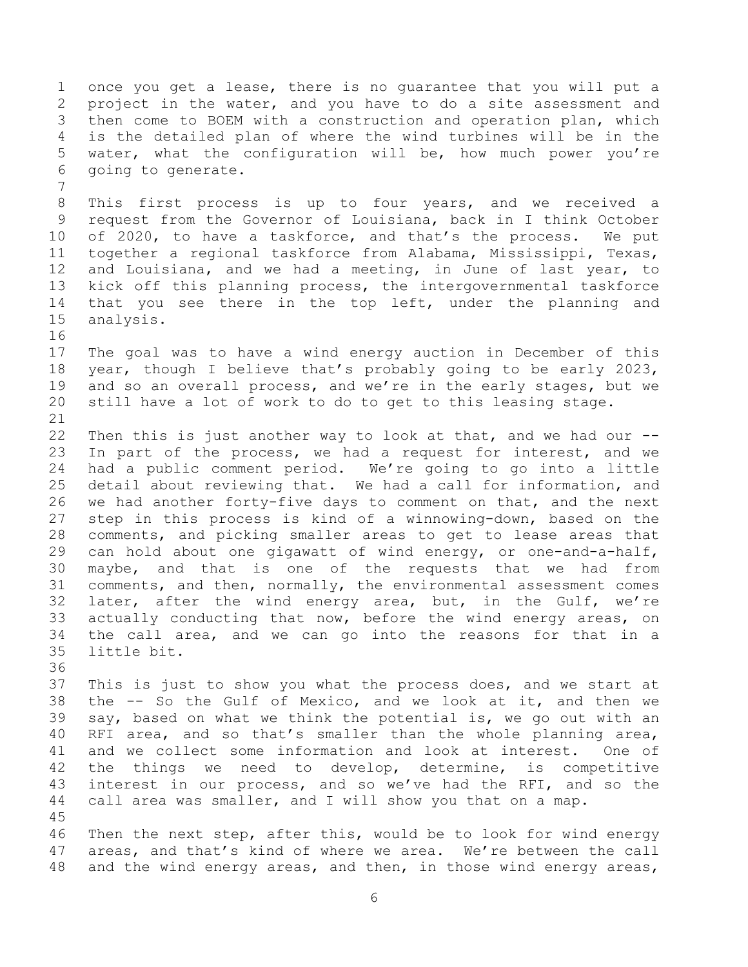once you get a lease, there is no guarantee that you will put a project in the water, and you have to do a site assessment and then come to BOEM with a construction and operation plan, which is the detailed plan of where the wind turbines will be in the water, what the configuration will be, how much power you're going to generate.

 This first process is up to four years, and we received a request from the Governor of Louisiana, back in I think October of 2020, to have a taskforce, and that's the process. We put together a regional taskforce from Alabama, Mississippi, Texas, and Louisiana, and we had a meeting, in June of last year, to kick off this planning process, the intergovernmental taskforce that you see there in the top left, under the planning and analysis.

 The goal was to have a wind energy auction in December of this year, though I believe that's probably going to be early 2023, and so an overall process, and we're in the early stages, but we still have a lot of work to do to get to this leasing stage.

 Then this is just another way to look at that, and we had our -- In part of the process, we had a request for interest, and we had a public comment period. We're going to go into a little detail about reviewing that. We had a call for information, and we had another forty-five days to comment on that, and the next step in this process is kind of a winnowing-down, based on the comments, and picking smaller areas to get to lease areas that can hold about one gigawatt of wind energy, or one-and-a-half, maybe, and that is one of the requests that we had from comments, and then, normally, the environmental assessment comes later, after the wind energy area, but, in the Gulf, we're actually conducting that now, before the wind energy areas, on the call area, and we can go into the reasons for that in a little bit.

 This is just to show you what the process does, and we start at the -- So the Gulf of Mexico, and we look at it, and then we say, based on what we think the potential is, we go out with an RFI area, and so that's smaller than the whole planning area, and we collect some information and look at interest. One of the things we need to develop, determine, is competitive interest in our process, and so we've had the RFI, and so the call area was smaller, and I will show you that on a map. 

 Then the next step, after this, would be to look for wind energy areas, and that's kind of where we area. We're between the call and the wind energy areas, and then, in those wind energy areas,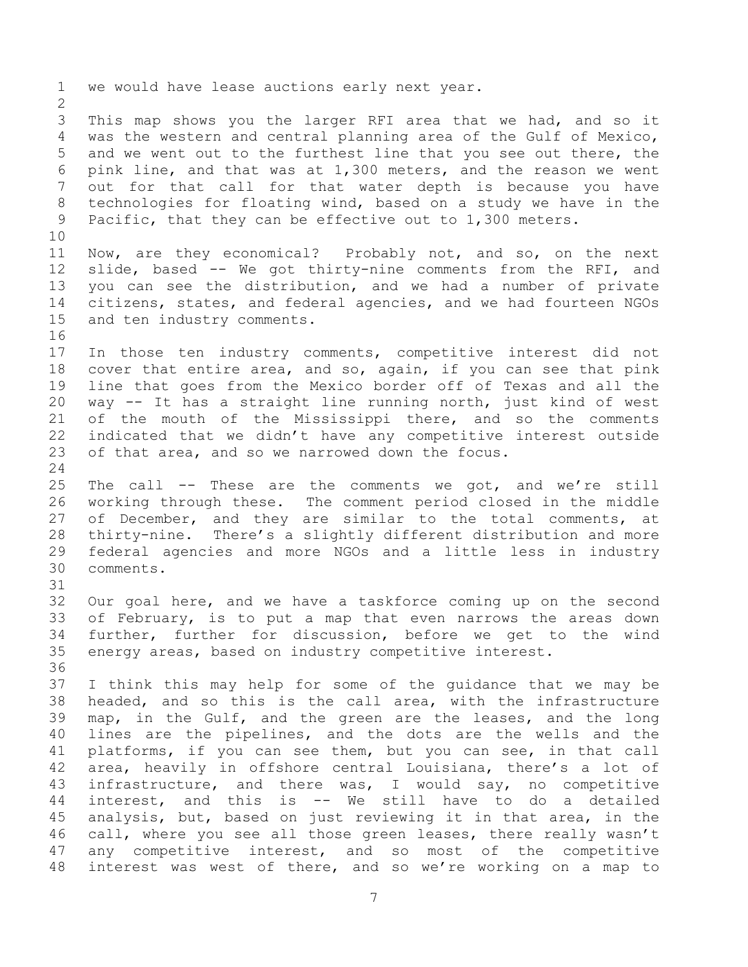we would have lease auctions early next year. This map shows you the larger RFI area that we had, and so it was the western and central planning area of the Gulf of Mexico, and we went out to the furthest line that you see out there, the pink line, and that was at 1,300 meters, and the reason we went out for that call for that water depth is because you have technologies for floating wind, based on a study we have in the Pacific, that they can be effective out to 1,300 meters. Now, are they economical? Probably not, and so, on the next slide, based -- We got thirty-nine comments from the RFI, and you can see the distribution, and we had a number of private citizens, states, and federal agencies, and we had fourteen NGOs and ten industry comments. In those ten industry comments, competitive interest did not cover that entire area, and so, again, if you can see that pink line that goes from the Mexico border off of Texas and all the way -- It has a straight line running north, just kind of west 21 of the mouth of the Mississippi there, and so the comments indicated that we didn't have any competitive interest outside of that area, and so we narrowed down the focus. The call -- These are the comments we got, and we're still working through these. The comment period closed in the middle 27 of December, and they are similar to the total comments, at thirty-nine. There's a slightly different distribution and more federal agencies and more NGOs and a little less in industry comments. Our goal here, and we have a taskforce coming up on the second of February, is to put a map that even narrows the areas down further, further for discussion, before we get to the wind energy areas, based on industry competitive interest. I think this may help for some of the guidance that we may be headed, and so this is the call area, with the infrastructure map, in the Gulf, and the green are the leases, and the long lines are the pipelines, and the dots are the wells and the platforms, if you can see them, but you can see, in that call area, heavily in offshore central Louisiana, there's a lot of infrastructure, and there was, I would say, no competitive interest, and this is -- We still have to do a detailed analysis, but, based on just reviewing it in that area, in the call, where you see all those green leases, there really wasn't any competitive interest, and so most of the competitive interest was west of there, and so we're working on a map to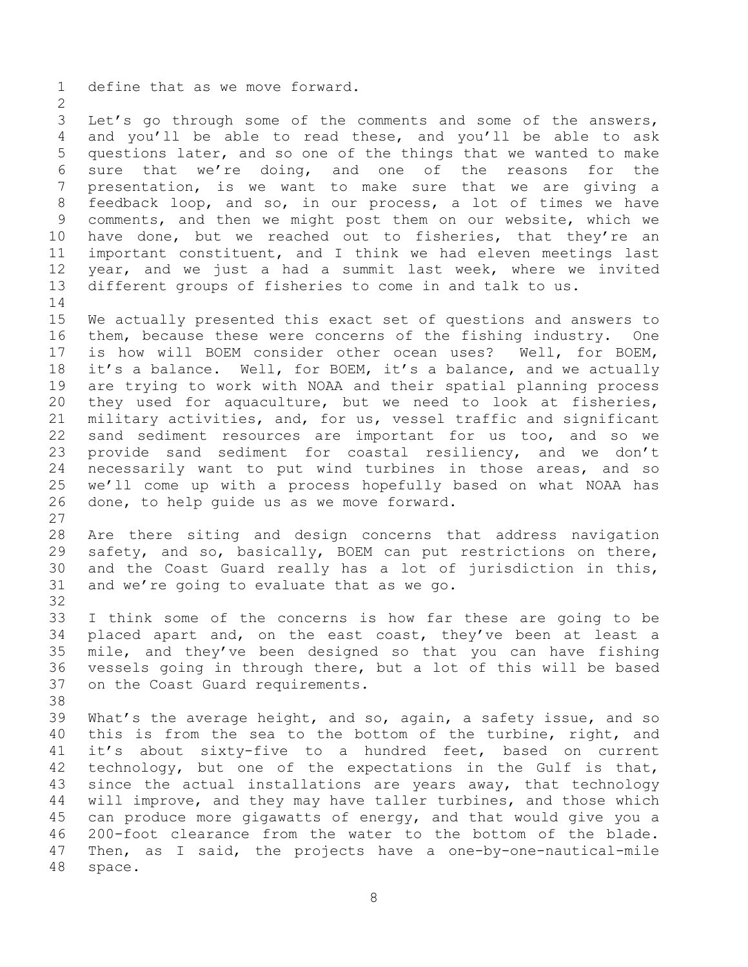define that as we move forward.

 Let's go through some of the comments and some of the answers, and you'll be able to read these, and you'll be able to ask questions later, and so one of the things that we wanted to make sure that we're doing, and one of the reasons for the presentation, is we want to make sure that we are giving a feedback loop, and so, in our process, a lot of times we have comments, and then we might post them on our website, which we have done, but we reached out to fisheries, that they're an important constituent, and I think we had eleven meetings last year, and we just a had a summit last week, where we invited different groups of fisheries to come in and talk to us. 

 We actually presented this exact set of questions and answers to them, because these were concerns of the fishing industry. One is how will BOEM consider other ocean uses? Well, for BOEM, it's a balance. Well, for BOEM, it's a balance, and we actually are trying to work with NOAA and their spatial planning process they used for aquaculture, but we need to look at fisheries, military activities, and, for us, vessel traffic and significant sand sediment resources are important for us too, and so we provide sand sediment for coastal resiliency, and we don't necessarily want to put wind turbines in those areas, and so we'll come up with a process hopefully based on what NOAA has done, to help guide us as we move forward.

 Are there siting and design concerns that address navigation safety, and so, basically, BOEM can put restrictions on there, and the Coast Guard really has a lot of jurisdiction in this, and we're going to evaluate that as we go.

 I think some of the concerns is how far these are going to be placed apart and, on the east coast, they've been at least a mile, and they've been designed so that you can have fishing vessels going in through there, but a lot of this will be based on the Coast Guard requirements.

 What's the average height, and so, again, a safety issue, and so this is from the sea to the bottom of the turbine, right, and it's about sixty-five to a hundred feet, based on current technology, but one of the expectations in the Gulf is that, since the actual installations are years away, that technology will improve, and they may have taller turbines, and those which can produce more gigawatts of energy, and that would give you a 200-foot clearance from the water to the bottom of the blade. Then, as I said, the projects have a one-by-one-nautical-mile space.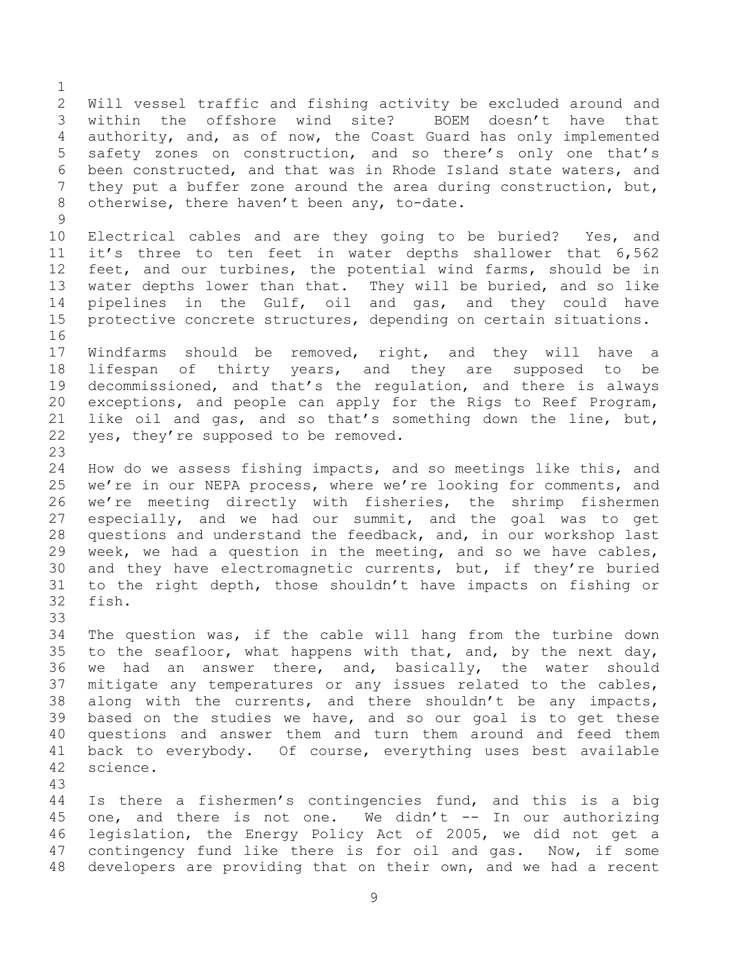Will vessel traffic and fishing activity be excluded around and within the offshore wind site? BOEM doesn't have that authority, and, as of now, the Coast Guard has only implemented safety zones on construction, and so there's only one that's been constructed, and that was in Rhode Island state waters, and they put a buffer zone around the area during construction, but, otherwise, there haven't been any, to-date. 

 Electrical cables and are they going to be buried? Yes, and it's three to ten feet in water depths shallower that 6,562 feet, and our turbines, the potential wind farms, should be in water depths lower than that. They will be buried, and so like pipelines in the Gulf, oil and gas, and they could have protective concrete structures, depending on certain situations. 

 Windfarms should be removed, right, and they will have a lifespan of thirty years, and they are supposed to be decommissioned, and that's the regulation, and there is always exceptions, and people can apply for the Rigs to Reef Program, like oil and gas, and so that's something down the line, but, yes, they're supposed to be removed.

 How do we assess fishing impacts, and so meetings like this, and we're in our NEPA process, where we're looking for comments, and we're meeting directly with fisheries, the shrimp fishermen especially, and we had our summit, and the goal was to get questions and understand the feedback, and, in our workshop last week, we had a question in the meeting, and so we have cables, and they have electromagnetic currents, but, if they're buried to the right depth, those shouldn't have impacts on fishing or fish.

 The question was, if the cable will hang from the turbine down to the seafloor, what happens with that, and, by the next day, we had an answer there, and, basically, the water should mitigate any temperatures or any issues related to the cables, along with the currents, and there shouldn't be any impacts, based on the studies we have, and so our goal is to get these questions and answer them and turn them around and feed them back to everybody. Of course, everything uses best available science.

 Is there a fishermen's contingencies fund, and this is a big 45 one, and there is not one. We didn't -- In our authorizing legislation, the Energy Policy Act of 2005, we did not get a contingency fund like there is for oil and gas. Now, if some developers are providing that on their own, and we had a recent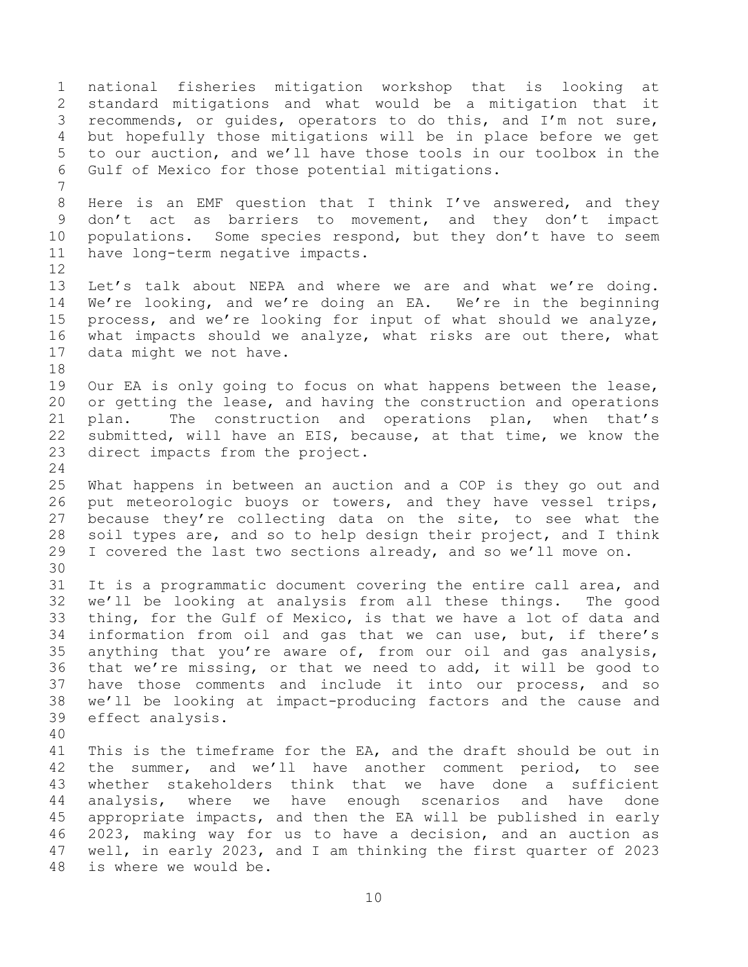national fisheries mitigation workshop that is looking at standard mitigations and what would be a mitigation that it recommends, or guides, operators to do this, and I'm not sure, but hopefully those mitigations will be in place before we get to our auction, and we'll have those tools in our toolbox in the Gulf of Mexico for those potential mitigations. Here is an EMF question that I think I've answered, and they don't act as barriers to movement, and they don't impact 10 populations. Some species respond, but they don't have to seem have long-term negative impacts. Let's talk about NEPA and where we are and what we're doing. We're looking, and we're doing an EA. We're in the beginning process, and we're looking for input of what should we analyze, what impacts should we analyze, what risks are out there, what data might we not have. Our EA is only going to focus on what happens between the lease, or getting the lease, and having the construction and operations plan. The construction and operations plan, when that's submitted, will have an EIS, because, at that time, we know the direct impacts from the project. What happens in between an auction and a COP is they go out and put meteorologic buoys or towers, and they have vessel trips, because they're collecting data on the site, to see what the soil types are, and so to help design their project, and I think I covered the last two sections already, and so we'll move on. It is a programmatic document covering the entire call area, and we'll be looking at analysis from all these things. The good thing, for the Gulf of Mexico, is that we have a lot of data and information from oil and gas that we can use, but, if there's anything that you're aware of, from our oil and gas analysis, that we're missing, or that we need to add, it will be good to have those comments and include it into our process, and so we'll be looking at impact-producing factors and the cause and effect analysis. This is the timeframe for the EA, and the draft should be out in the summer, and we'll have another comment period, to see whether stakeholders think that we have done a sufficient analysis, where we have enough scenarios and have done appropriate impacts, and then the EA will be published in early 2023, making way for us to have a decision, and an auction as well, in early 2023, and I am thinking the first quarter of 2023 is where we would be.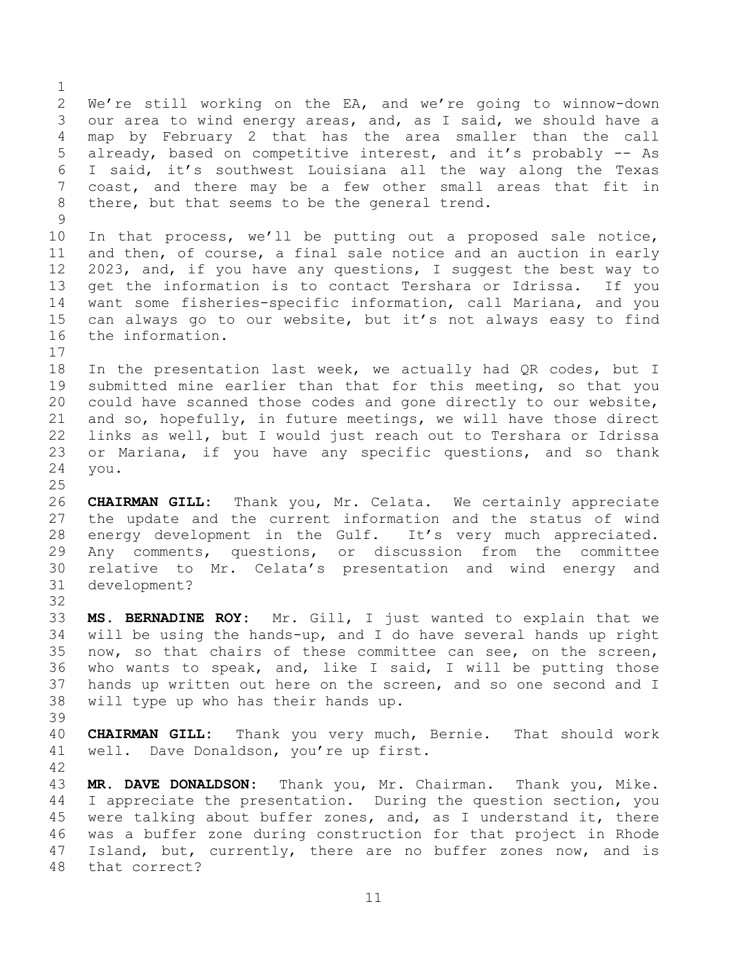We're still working on the EA, and we're going to winnow-down our area to wind energy areas, and, as I said, we should have a map by February 2 that has the area smaller than the call already, based on competitive interest, and it's probably -- As I said, it's southwest Louisiana all the way along the Texas coast, and there may be a few other small areas that fit in there, but that seems to be the general trend. 

 In that process, we'll be putting out a proposed sale notice, and then, of course, a final sale notice and an auction in early 2023, and, if you have any questions, I suggest the best way to get the information is to contact Tershara or Idrissa. If you want some fisheries-specific information, call Mariana, and you can always go to our website, but it's not always easy to find the information.

 In the presentation last week, we actually had QR codes, but I submitted mine earlier than that for this meeting, so that you could have scanned those codes and gone directly to our website, and so, hopefully, in future meetings, we will have those direct links as well, but I would just reach out to Tershara or Idrissa or Mariana, if you have any specific questions, and so thank you. 

 **CHAIRMAN GILL:** Thank you, Mr. Celata. We certainly appreciate the update and the current information and the status of wind 28 energy development in the Gulf. It's very much appreciated. Any comments, questions, or discussion from the committee relative to Mr. Celata's presentation and wind energy and development?

 **MS. BERNADINE ROY:** Mr. Gill, I just wanted to explain that we will be using the hands-up, and I do have several hands up right now, so that chairs of these committee can see, on the screen, who wants to speak, and, like I said, I will be putting those hands up written out here on the screen, and so one second and I will type up who has their hands up.

 **CHAIRMAN GILL:** Thank you very much, Bernie. That should work well. Dave Donaldson, you're up first.

 **MR. DAVE DONALDSON:** Thank you, Mr. Chairman. Thank you, Mike. I appreciate the presentation. During the question section, you were talking about buffer zones, and, as I understand it, there was a buffer zone during construction for that project in Rhode Island, but, currently, there are no buffer zones now, and is that correct?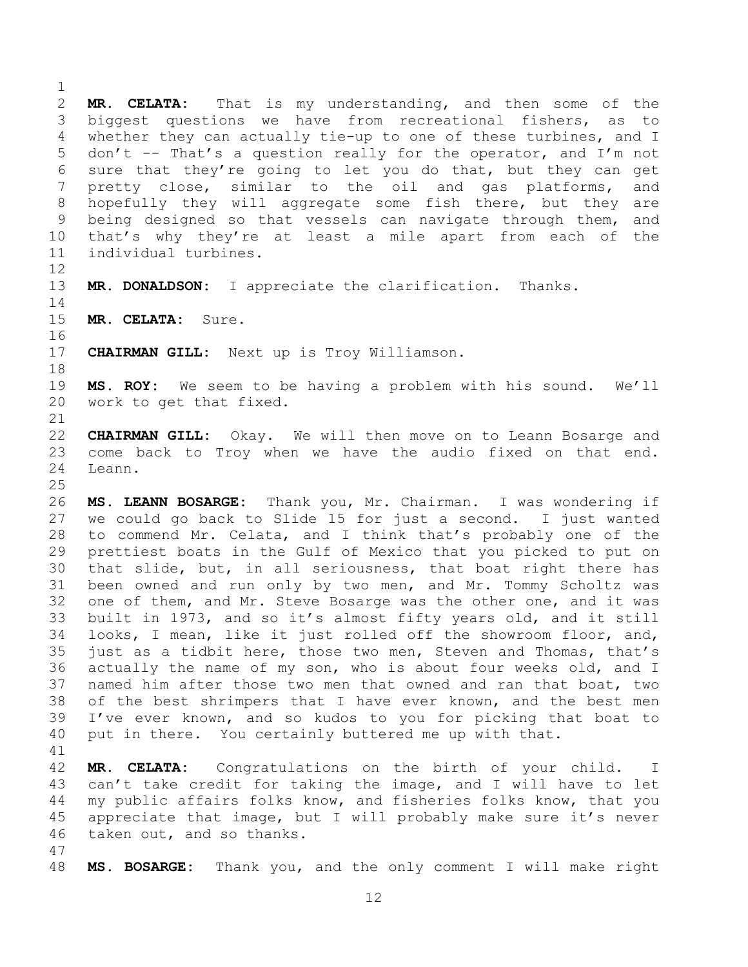**MR. CELATA:** That is my understanding, and then some of the biggest questions we have from recreational fishers, as to whether they can actually tie-up to one of these turbines, and I don't -- That's a question really for the operator, and I'm not sure that they're going to let you do that, but they can get pretty close, similar to the oil and gas platforms, and hopefully they will aggregate some fish there, but they are being designed so that vessels can navigate through them, and that's why they're at least a mile apart from each of the individual turbines.

**MR. DONALDSON:** I appreciate the clarification. Thanks.

**MR. CELATA:** Sure.

**CHAIRMAN GILL:** Next up is Troy Williamson.

 **MS. ROY:** We seem to be having a problem with his sound. We'll work to get that fixed.

 **CHAIRMAN GILL:** Okay. We will then move on to Leann Bosarge and come back to Troy when we have the audio fixed on that end. Leann.

 **MS. LEANN BOSARGE:** Thank you, Mr. Chairman. I was wondering if we could go back to Slide 15 for just a second. I just wanted to commend Mr. Celata, and I think that's probably one of the prettiest boats in the Gulf of Mexico that you picked to put on that slide, but, in all seriousness, that boat right there has been owned and run only by two men, and Mr. Tommy Scholtz was one of them, and Mr. Steve Bosarge was the other one, and it was built in 1973, and so it's almost fifty years old, and it still looks, I mean, like it just rolled off the showroom floor, and, just as a tidbit here, those two men, Steven and Thomas, that's actually the name of my son, who is about four weeks old, and I named him after those two men that owned and ran that boat, two of the best shrimpers that I have ever known, and the best men I've ever known, and so kudos to you for picking that boat to put in there. You certainly buttered me up with that.

 **MR. CELATA:** Congratulations on the birth of your child. I can't take credit for taking the image, and I will have to let my public affairs folks know, and fisheries folks know, that you appreciate that image, but I will probably make sure it's never taken out, and so thanks.

**MS. BOSARGE:** Thank you, and the only comment I will make right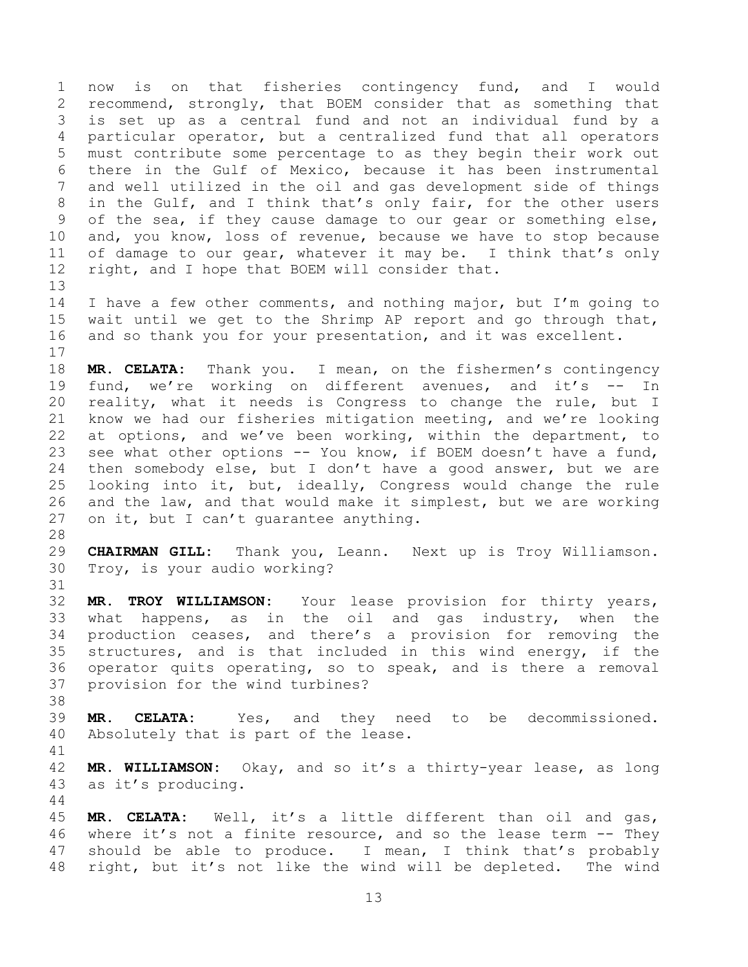now is on that fisheries contingency fund, and I would recommend, strongly, that BOEM consider that as something that is set up as a central fund and not an individual fund by a particular operator, but a centralized fund that all operators must contribute some percentage to as they begin their work out there in the Gulf of Mexico, because it has been instrumental and well utilized in the oil and gas development side of things in the Gulf, and I think that's only fair, for the other users of the sea, if they cause damage to our gear or something else, and, you know, loss of revenue, because we have to stop because of damage to our gear, whatever it may be. I think that's only right, and I hope that BOEM will consider that. 

 I have a few other comments, and nothing major, but I'm going to wait until we get to the Shrimp AP report and go through that, and so thank you for your presentation, and it was excellent. 

 **MR. CELATA:** Thank you. I mean, on the fishermen's contingency fund, we're working on different avenues, and it's -- In reality, what it needs is Congress to change the rule, but I know we had our fisheries mitigation meeting, and we're looking at options, and we've been working, within the department, to see what other options -- You know, if BOEM doesn't have a fund, then somebody else, but I don't have a good answer, but we are looking into it, but, ideally, Congress would change the rule and the law, and that would make it simplest, but we are working on it, but I can't guarantee anything.

 **CHAIRMAN GILL:** Thank you, Leann. Next up is Troy Williamson. Troy, is your audio working?

 **MR. TROY WILLIAMSON:** Your lease provision for thirty years, what happens, as in the oil and gas industry, when the production ceases, and there's a provision for removing the structures, and is that included in this wind energy, if the operator quits operating, so to speak, and is there a removal provision for the wind turbines?

 **MR. CELATA:** Yes, and they need to be decommissioned. Absolutely that is part of the lease.

 **MR. WILLIAMSON:** Okay, and so it's a thirty-year lease, as long as it's producing. 

 **MR. CELATA:** Well, it's a little different than oil and gas, where it's not a finite resource, and so the lease term -- They should be able to produce. I mean, I think that's probably right, but it's not like the wind will be depleted. The wind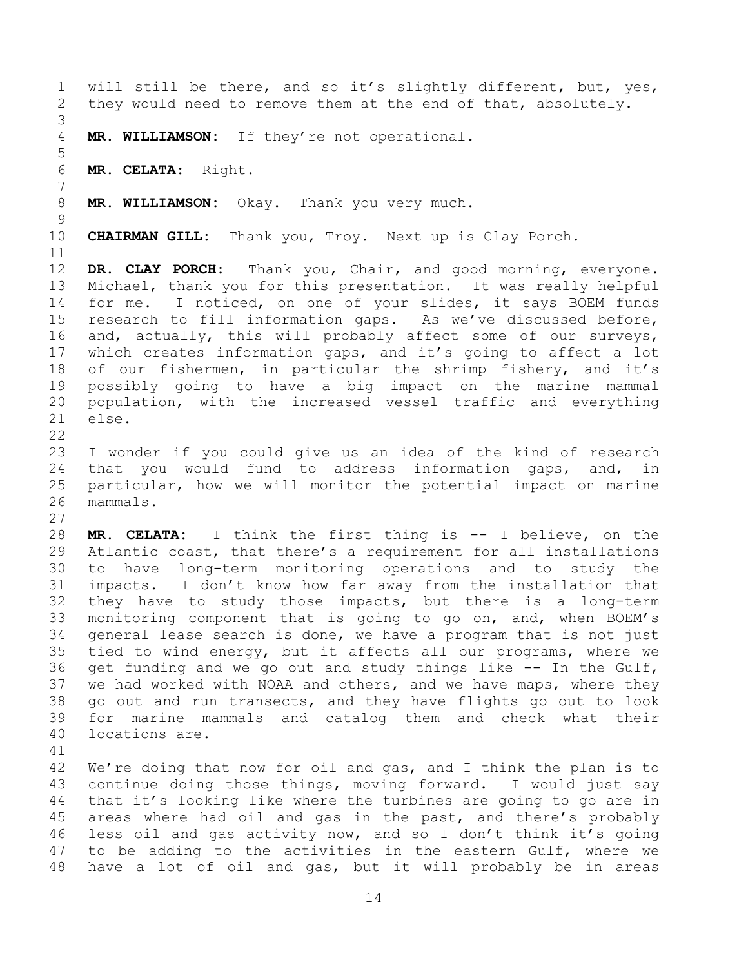will still be there, and so it's slightly different, but, yes, they would need to remove them at the end of that, absolutely. **MR. WILLIAMSON:** If they're not operational. **MR. CELATA:** Right. **MR. WILLIAMSON:** Okay. Thank you very much. **CHAIRMAN GILL:** Thank you, Troy. Next up is Clay Porch. **DR. CLAY PORCH:** Thank you, Chair, and good morning, everyone. Michael, thank you for this presentation. It was really helpful for me. I noticed, on one of your slides, it says BOEM funds research to fill information gaps. As we've discussed before, and, actually, this will probably affect some of our surveys, which creates information gaps, and it's going to affect a lot of our fishermen, in particular the shrimp fishery, and it's possibly going to have a big impact on the marine mammal population, with the increased vessel traffic and everything else. I wonder if you could give us an idea of the kind of research that you would fund to address information gaps, and, in particular, how we will monitor the potential impact on marine mammals. **MR. CELATA:** I think the first thing is -- I believe, on the Atlantic coast, that there's a requirement for all installations to have long-term monitoring operations and to study the impacts. I don't know how far away from the installation that they have to study those impacts, but there is a long-term monitoring component that is going to go on, and, when BOEM's general lease search is done, we have a program that is not just tied to wind energy, but it affects all our programs, where we get funding and we go out and study things like -- In the Gulf, we had worked with NOAA and others, and we have maps, where they go out and run transects, and they have flights go out to look for marine mammals and catalog them and check what their locations are. We're doing that now for oil and gas, and I think the plan is to continue doing those things, moving forward. I would just say that it's looking like where the turbines are going to go are in areas where had oil and gas in the past, and there's probably less oil and gas activity now, and so I don't think it's going to be adding to the activities in the eastern Gulf, where we

have a lot of oil and gas, but it will probably be in areas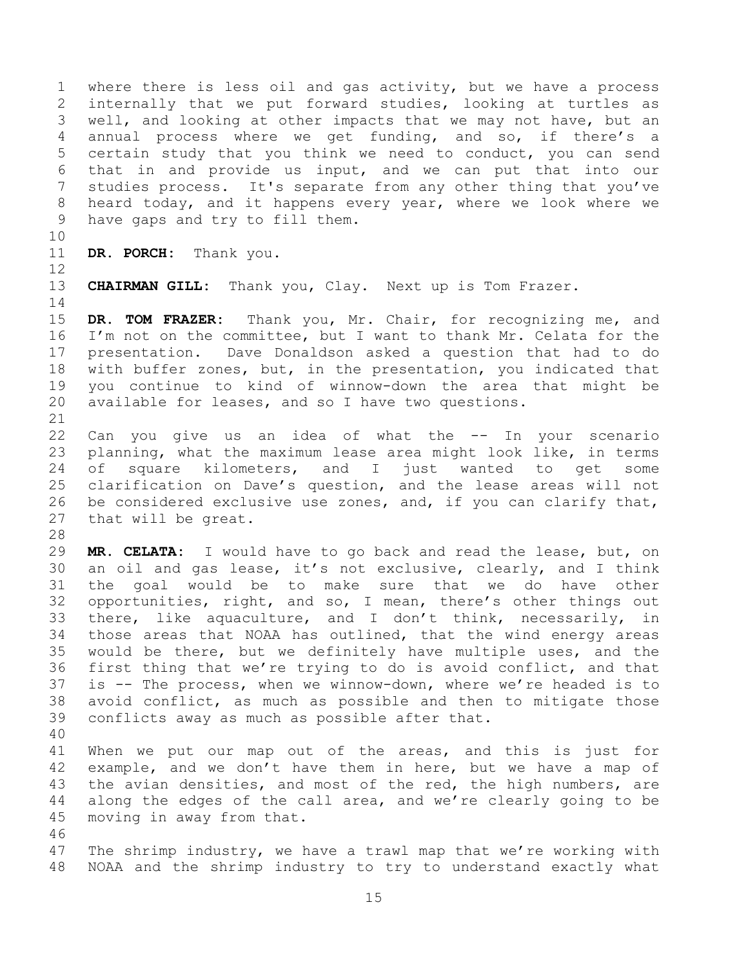where there is less oil and gas activity, but we have a process internally that we put forward studies, looking at turtles as well, and looking at other impacts that we may not have, but an annual process where we get funding, and so, if there's a certain study that you think we need to conduct, you can send that in and provide us input, and we can put that into our studies process. It's separate from any other thing that you've heard today, and it happens every year, where we look where we have gaps and try to fill them.

 **DR. PORCH:** Thank you. 

**CHAIRMAN GILL:** Thank you, Clay. Next up is Tom Frazer.

 **DR. TOM FRAZER:** Thank you, Mr. Chair, for recognizing me, and I'm not on the committee, but I want to thank Mr. Celata for the presentation. Dave Donaldson asked a question that had to do with buffer zones, but, in the presentation, you indicated that you continue to kind of winnow-down the area that might be available for leases, and so I have two questions. 

 Can you give us an idea of what the -- In your scenario planning, what the maximum lease area might look like, in terms of square kilometers, and I just wanted to get some clarification on Dave's question, and the lease areas will not be considered exclusive use zones, and, if you can clarify that, that will be great.

 **MR. CELATA:** I would have to go back and read the lease, but, on an oil and gas lease, it's not exclusive, clearly, and I think the goal would be to make sure that we do have other opportunities, right, and so, I mean, there's other things out there, like aquaculture, and I don't think, necessarily, in those areas that NOAA has outlined, that the wind energy areas would be there, but we definitely have multiple uses, and the first thing that we're trying to do is avoid conflict, and that is -- The process, when we winnow-down, where we're headed is to avoid conflict, as much as possible and then to mitigate those conflicts away as much as possible after that. 

 When we put our map out of the areas, and this is just for example, and we don't have them in here, but we have a map of the avian densities, and most of the red, the high numbers, are along the edges of the call area, and we're clearly going to be moving in away from that.

 The shrimp industry, we have a trawl map that we're working with NOAA and the shrimp industry to try to understand exactly what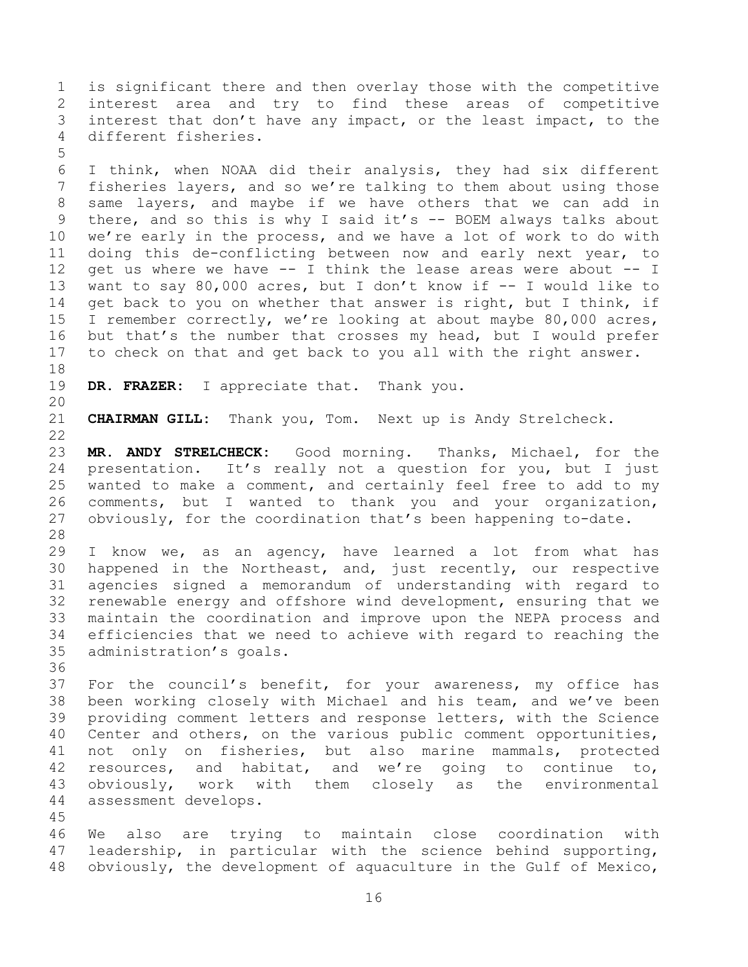is significant there and then overlay those with the competitive interest area and try to find these areas of competitive interest that don't have any impact, or the least impact, to the different fisheries. 

 I think, when NOAA did their analysis, they had six different fisheries layers, and so we're talking to them about using those same layers, and maybe if we have others that we can add in there, and so this is why I said it's -- BOEM always talks about we're early in the process, and we have a lot of work to do with doing this de-conflicting between now and early next year, to get us where we have -- I think the lease areas were about -- I want to say 80,000 acres, but I don't know if -- I would like to 14 get back to you on whether that answer is right, but I think, if I remember correctly, we're looking at about maybe 80,000 acres, but that's the number that crosses my head, but I would prefer to check on that and get back to you all with the right answer.

**DR. FRAZER:** I appreciate that. Thank you.

**CHAIRMAN GILL:** Thank you, Tom. Next up is Andy Strelcheck.

 **MR. ANDY STRELCHECK:** Good morning. Thanks, Michael, for the presentation. It's really not a question for you, but I just wanted to make a comment, and certainly feel free to add to my comments, but I wanted to thank you and your organization, obviously, for the coordination that's been happening to-date. 

 I know we, as an agency, have learned a lot from what has happened in the Northeast, and, just recently, our respective agencies signed a memorandum of understanding with regard to renewable energy and offshore wind development, ensuring that we maintain the coordination and improve upon the NEPA process and efficiencies that we need to achieve with regard to reaching the administration's goals.

 For the council's benefit, for your awareness, my office has been working closely with Michael and his team, and we've been providing comment letters and response letters, with the Science Center and others, on the various public comment opportunities, not only on fisheries, but also marine mammals, protected resources, and habitat, and we're going to continue to, obviously, work with them closely as the environmental assessment develops.

 We also are trying to maintain close coordination with leadership, in particular with the science behind supporting, obviously, the development of aquaculture in the Gulf of Mexico,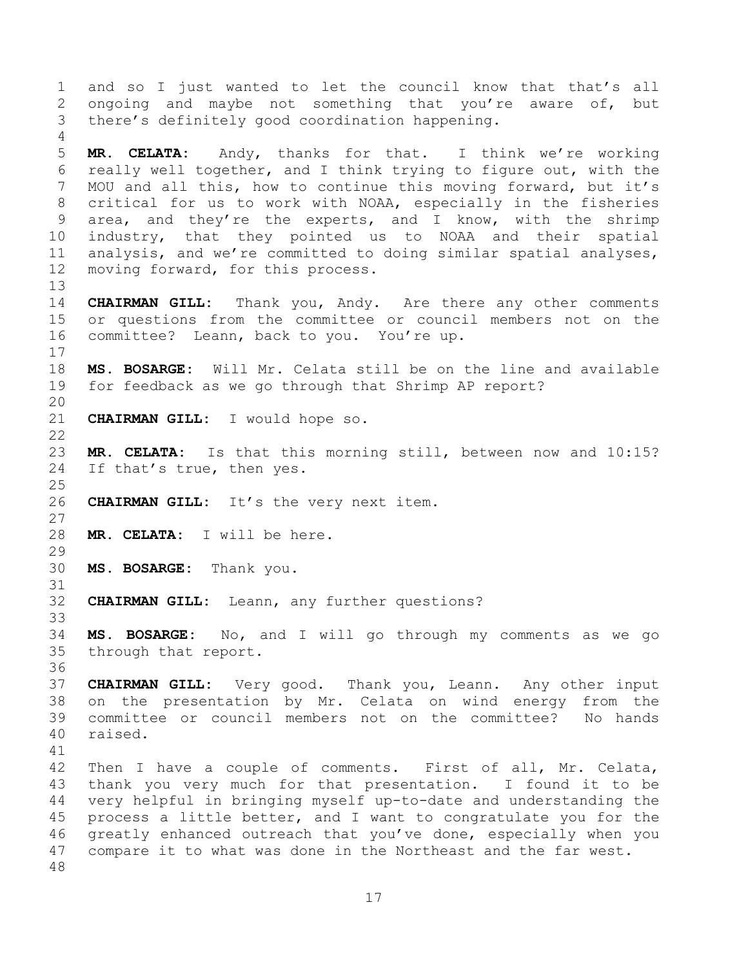and so I just wanted to let the council know that that's all ongoing and maybe not something that you're aware of, but there's definitely good coordination happening. **MR. CELATA:** Andy, thanks for that. I think we're working really well together, and I think trying to figure out, with the MOU and all this, how to continue this moving forward, but it's critical for us to work with NOAA, especially in the fisheries area, and they're the experts, and I know, with the shrimp industry, that they pointed us to NOAA and their spatial analysis, and we're committed to doing similar spatial analyses, moving forward, for this process. **CHAIRMAN GILL:** Thank you, Andy. Are there any other comments or questions from the committee or council members not on the committee? Leann, back to you. You're up. **MS. BOSARGE:** Will Mr. Celata still be on the line and available for feedback as we go through that Shrimp AP report? **CHAIRMAN GILL:** I would hope so. **MR. CELATA:** Is that this morning still, between now and 10:15? If that's true, then yes. **CHAIRMAN GILL:** It's the very next item. **MR. CELATA:** I will be here. **MS. BOSARGE:** Thank you. **CHAIRMAN GILL:** Leann, any further questions? **MS. BOSARGE:** No, and I will go through my comments as we go through that report. **CHAIRMAN GILL:** Very good. Thank you, Leann. Any other input on the presentation by Mr. Celata on wind energy from the committee or council members not on the committee? No hands raised. Then I have a couple of comments. First of all, Mr. Celata, thank you very much for that presentation. I found it to be very helpful in bringing myself up-to-date and understanding the process a little better, and I want to congratulate you for the greatly enhanced outreach that you've done, especially when you compare it to what was done in the Northeast and the far west.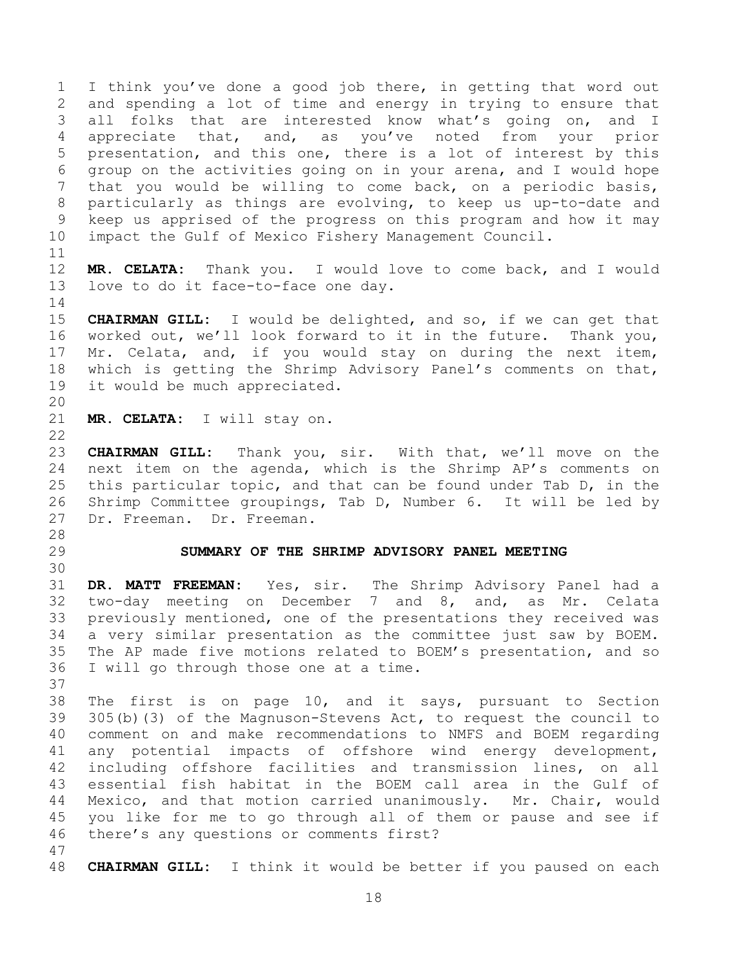I think you've done a good job there, in getting that word out and spending a lot of time and energy in trying to ensure that all folks that are interested know what's going on, and I appreciate that, and, as you've noted from your prior presentation, and this one, there is a lot of interest by this group on the activities going on in your arena, and I would hope that you would be willing to come back, on a periodic basis, particularly as things are evolving, to keep us up-to-date and keep us apprised of the progress on this program and how it may impact the Gulf of Mexico Fishery Management Council. 

 **MR. CELATA:** Thank you. I would love to come back, and I would love to do it face-to-face one day.

 **CHAIRMAN GILL:** I would be delighted, and so, if we can get that worked out, we'll look forward to it in the future. Thank you, Mr. Celata, and, if you would stay on during the next item, which is getting the Shrimp Advisory Panel's comments on that, it would be much appreciated.

**MR. CELATA:** I will stay on.

 **CHAIRMAN GILL:** Thank you, sir. With that, we'll move on the next item on the agenda, which is the Shrimp AP's comments on this particular topic, and that can be found under Tab D, in the Shrimp Committee groupings, Tab D, Number 6. It will be led by Dr. Freeman. Dr. Freeman.

- 
- 

#### <span id="page-17-0"></span>**SUMMARY OF THE SHRIMP ADVISORY PANEL MEETING**

 **DR. MATT FREEMAN:** Yes, sir. The Shrimp Advisory Panel had a two-day meeting on December 7 and 8, and, as Mr. Celata previously mentioned, one of the presentations they received was a very similar presentation as the committee just saw by BOEM. The AP made five motions related to BOEM's presentation, and so I will go through those one at a time. 

 The first is on page 10, and it says, pursuant to Section 305(b)(3) of the Magnuson-Stevens Act, to request the council to comment on and make recommendations to NMFS and BOEM regarding any potential impacts of offshore wind energy development, including offshore facilities and transmission lines, on all essential fish habitat in the BOEM call area in the Gulf of Mexico, and that motion carried unanimously. Mr. Chair, would you like for me to go through all of them or pause and see if there's any questions or comments first?

**CHAIRMAN GILL:** I think it would be better if you paused on each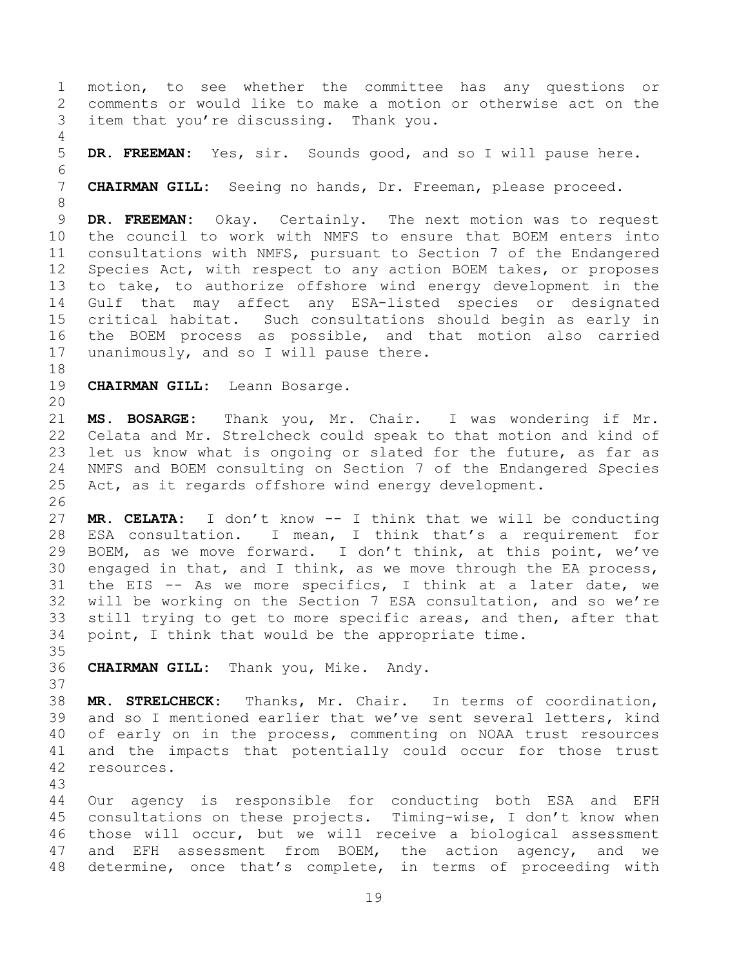motion, to see whether the committee has any questions or comments or would like to make a motion or otherwise act on the item that you're discussing. Thank you. **DR. FREEMAN:** Yes, sir. Sounds good, and so I will pause here. **CHAIRMAN GILL:** Seeing no hands, Dr. Freeman, please proceed. **DR. FREEMAN:** Okay. Certainly. The next motion was to request the council to work with NMFS to ensure that BOEM enters into consultations with NMFS, pursuant to Section 7 of the Endangered Species Act, with respect to any action BOEM takes, or proposes to take, to authorize offshore wind energy development in the Gulf that may affect any ESA-listed species or designated critical habitat. Such consultations should begin as early in the BOEM process as possible, and that motion also carried 17 unanimously, and so I will pause there. **CHAIRMAN GILL:** Leann Bosarge. **MS. BOSARGE:** Thank you, Mr. Chair. I was wondering if Mr. Celata and Mr. Strelcheck could speak to that motion and kind of let us know what is ongoing or slated for the future, as far as NMFS and BOEM consulting on Section 7 of the Endangered Species Act, as it regards offshore wind energy development. **MR. CELATA:** I don't know -- I think that we will be conducting ESA consultation. I mean, I think that's a requirement for BOEM, as we move forward. I don't think, at this point, we've engaged in that, and I think, as we move through the EA process, the EIS -- As we more specifics, I think at a later date, we will be working on the Section 7 ESA consultation, and so we're still trying to get to more specific areas, and then, after that point, I think that would be the appropriate time. **CHAIRMAN GILL:** Thank you, Mike. Andy. **MR. STRELCHECK:** Thanks, Mr. Chair. In terms of coordination, and so I mentioned earlier that we've sent several letters, kind of early on in the process, commenting on NOAA trust resources and the impacts that potentially could occur for those trust resources. Our agency is responsible for conducting both ESA and EFH consultations on these projects. Timing-wise, I don't know when those will occur, but we will receive a biological assessment and EFH assessment from BOEM, the action agency, and we

determine, once that's complete, in terms of proceeding with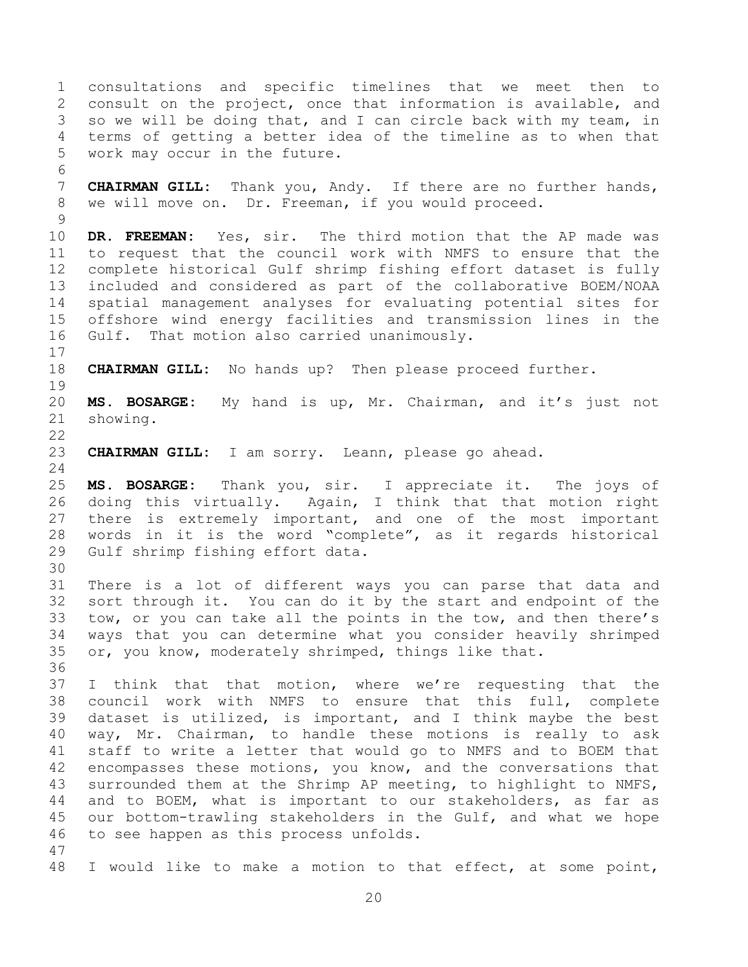consultations and specific timelines that we meet then to consult on the project, once that information is available, and so we will be doing that, and I can circle back with my team, in terms of getting a better idea of the timeline as to when that work may occur in the future. **CHAIRMAN GILL:** Thank you, Andy. If there are no further hands, we will move on. Dr. Freeman, if you would proceed. **DR. FREEMAN:** Yes, sir. The third motion that the AP made was to request that the council work with NMFS to ensure that the complete historical Gulf shrimp fishing effort dataset is fully included and considered as part of the collaborative BOEM/NOAA spatial management analyses for evaluating potential sites for offshore wind energy facilities and transmission lines in the Gulf. That motion also carried unanimously. **CHAIRMAN GILL:** No hands up? Then please proceed further. **MS. BOSARGE:** My hand is up, Mr. Chairman, and it's just not showing. **CHAIRMAN GILL:** I am sorry. Leann, please go ahead. **MS. BOSARGE:** Thank you, sir. I appreciate it. The joys of doing this virtually. Again, I think that that motion right there is extremely important, and one of the most important words in it is the word "complete", as it regards historical Gulf shrimp fishing effort data. There is a lot of different ways you can parse that data and sort through it. You can do it by the start and endpoint of the tow, or you can take all the points in the tow, and then there's ways that you can determine what you consider heavily shrimped or, you know, moderately shrimped, things like that. I think that that motion, where we're requesting that the council work with NMFS to ensure that this full, complete dataset is utilized, is important, and I think maybe the best way, Mr. Chairman, to handle these motions is really to ask staff to write a letter that would go to NMFS and to BOEM that encompasses these motions, you know, and the conversations that surrounded them at the Shrimp AP meeting, to highlight to NMFS, and to BOEM, what is important to our stakeholders, as far as our bottom-trawling stakeholders in the Gulf, and what we hope to see happen as this process unfolds. I would like to make a motion to that effect, at some point,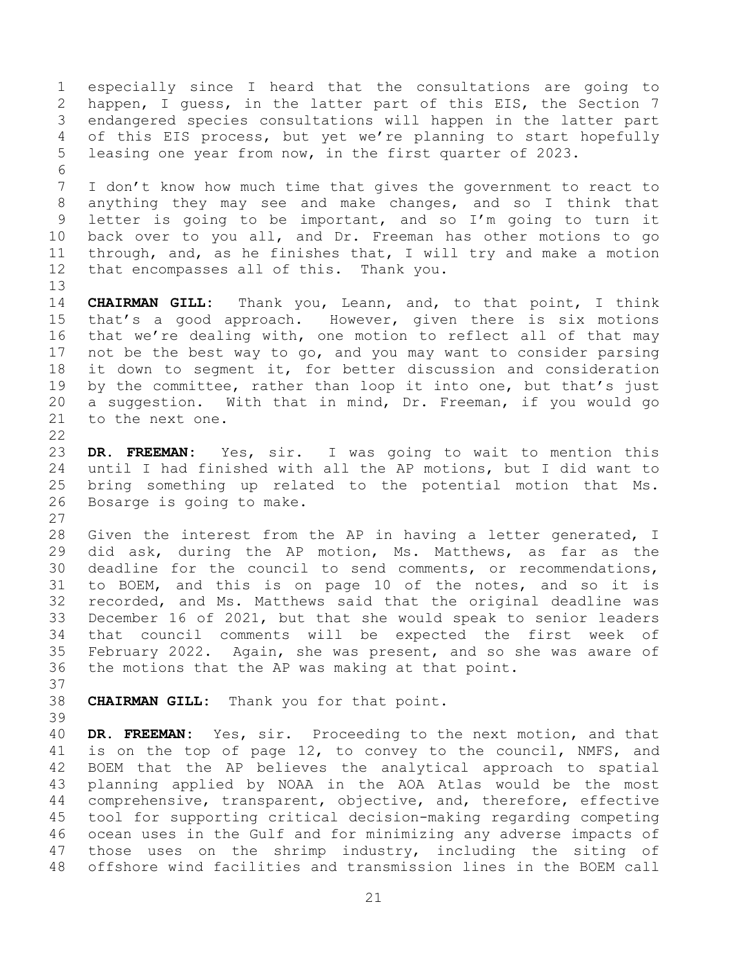especially since I heard that the consultations are going to happen, I guess, in the latter part of this EIS, the Section 7 endangered species consultations will happen in the latter part of this EIS process, but yet we're planning to start hopefully leasing one year from now, in the first quarter of 2023. I don't know how much time that gives the government to react to anything they may see and make changes, and so I think that letter is going to be important, and so I'm going to turn it back over to you all, and Dr. Freeman has other motions to go through, and, as he finishes that, I will try and make a motion that encompasses all of this. Thank you. **CHAIRMAN GILL:** Thank you, Leann, and, to that point, I think that's a good approach. However, given there is six motions that we're dealing with, one motion to reflect all of that may not be the best way to go, and you may want to consider parsing it down to segment it, for better discussion and consideration by the committee, rather than loop it into one, but that's just a suggestion. With that in mind, Dr. Freeman, if you would go to the next one. **DR. FREEMAN:** Yes, sir. I was going to wait to mention this until I had finished with all the AP motions, but I did want to bring something up related to the potential motion that Ms. Bosarge is going to make. Given the interest from the AP in having a letter generated, I did ask, during the AP motion, Ms. Matthews, as far as the deadline for the council to send comments, or recommendations, to BOEM, and this is on page 10 of the notes, and so it is recorded, and Ms. Matthews said that the original deadline was December 16 of 2021, but that she would speak to senior leaders that council comments will be expected the first week of February 2022. Again, she was present, and so she was aware of the motions that the AP was making at that point. **CHAIRMAN GILL:** Thank you for that point. **DR. FREEMAN:** Yes, sir. Proceeding to the next motion, and that is on the top of page 12, to convey to the council, NMFS, and BOEM that the AP believes the analytical approach to spatial planning applied by NOAA in the AOA Atlas would be the most comprehensive, transparent, objective, and, therefore, effective tool for supporting critical decision-making regarding competing ocean uses in the Gulf and for minimizing any adverse impacts of those uses on the shrimp industry, including the siting of offshore wind facilities and transmission lines in the BOEM call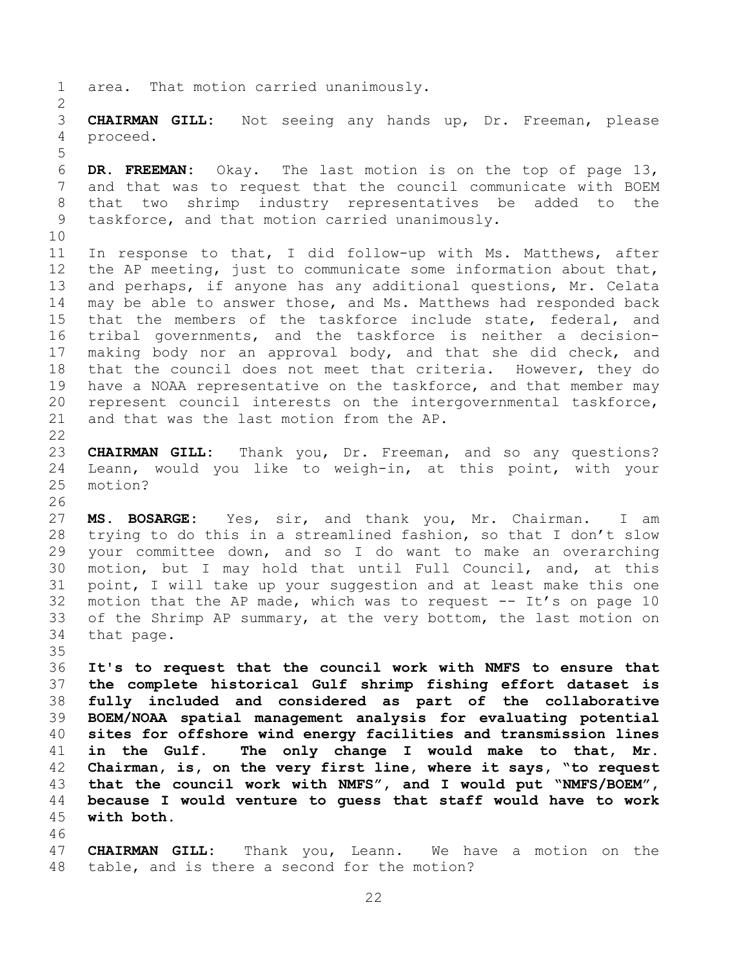area. That motion carried unanimously.

 **CHAIRMAN GILL:** Not seeing any hands up, Dr. Freeman, please proceed.

 **DR. FREEMAN:** Okay. The last motion is on the top of page 13, and that was to request that the council communicate with BOEM that two shrimp industry representatives be added to the taskforce, and that motion carried unanimously.

 In response to that, I did follow-up with Ms. Matthews, after the AP meeting, just to communicate some information about that, and perhaps, if anyone has any additional questions, Mr. Celata may be able to answer those, and Ms. Matthews had responded back that the members of the taskforce include state, federal, and tribal governments, and the taskforce is neither a decision- making body nor an approval body, and that she did check, and that the council does not meet that criteria. However, they do have a NOAA representative on the taskforce, and that member may represent council interests on the intergovernmental taskforce, and that was the last motion from the AP.

 **CHAIRMAN GILL:** Thank you, Dr. Freeman, and so any questions? Leann, would you like to weigh-in, at this point, with your motion? 

 **MS. BOSARGE:** Yes, sir, and thank you, Mr. Chairman. I am trying to do this in a streamlined fashion, so that I don't slow your committee down, and so I do want to make an overarching motion, but I may hold that until Full Council, and, at this point, I will take up your suggestion and at least make this one 32 motion that the AP made, which was to request  $--$  It's on page 10 33 of the Shrimp AP summary, at the very bottom, the last motion on that page.

<span id="page-21-0"></span> **It's to request that the council work with NMFS to ensure that the complete historical Gulf shrimp fishing effort dataset is fully included and considered as part of the collaborative BOEM/NOAA spatial management analysis for evaluating potential sites for offshore wind energy facilities and transmission lines in the Gulf. The only change I would make to that, Mr. Chairman, is, on the very first line, where it says, "to request that the council work with NMFS", and I would put "NMFS/BOEM", because I would venture to guess that staff would have to work with both.**

 **CHAIRMAN GILL:** Thank you, Leann. We have a motion on the table, and is there a second for the motion?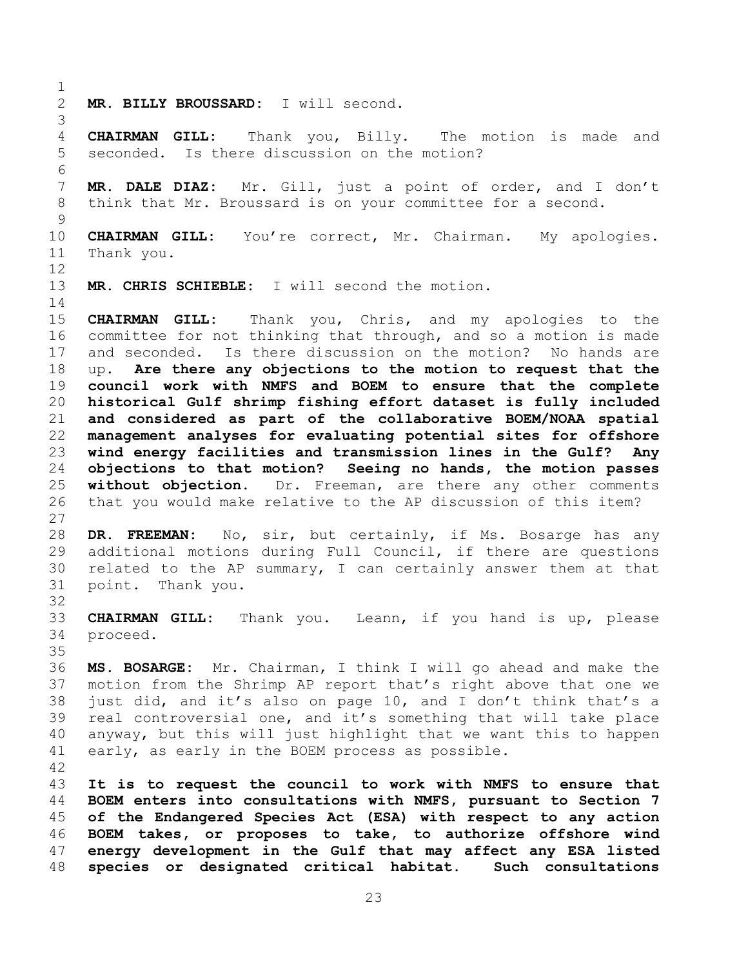**MR. BILLY BROUSSARD:** I will second.

 **CHAIRMAN GILL:** Thank you, Billy. The motion is made and seconded. Is there discussion on the motion?

 **MR. DALE DIAZ:** Mr. Gill, just a point of order, and I don't think that Mr. Broussard is on your committee for a second.

 **CHAIRMAN GILL:** You're correct, Mr. Chairman. My apologies. Thank you. 

**MR. CHRIS SCHIEBLE:** I will second the motion.

<span id="page-22-0"></span>

 **CHAIRMAN GILL:** Thank you, Chris, and my apologies to the committee for not thinking that through, and so a motion is made and seconded. Is there discussion on the motion? No hands are up. **Are there any objections to the motion to request that the council work with NMFS and BOEM to ensure that the complete historical Gulf shrimp fishing effort dataset is fully included and considered as part of the collaborative BOEM/NOAA spatial management analyses for evaluating potential sites for offshore wind energy facilities and transmission lines in the Gulf? Any objections to that motion? Seeing no hands, the motion passes without objection.** Dr. Freeman, are there any other comments that you would make relative to the AP discussion of this item? 

 **DR. FREEMAN:** No, sir, but certainly, if Ms. Bosarge has any additional motions during Full Council, if there are questions related to the AP summary, I can certainly answer them at that point. Thank you.

 **CHAIRMAN GILL:** Thank you. Leann, if you hand is up, please proceed.

 **MS. BOSARGE:** Mr. Chairman, I think I will go ahead and make the motion from the Shrimp AP report that's right above that one we just did, and it's also on page 10, and I don't think that's a real controversial one, and it's something that will take place anyway, but this will just highlight that we want this to happen early, as early in the BOEM process as possible.

<span id="page-22-1"></span> **It is to request the council to work with NMFS to ensure that BOEM enters into consultations with NMFS, pursuant to Section 7 of the Endangered Species Act (ESA) with respect to any action BOEM takes, or proposes to take, to authorize offshore wind energy development in the Gulf that may affect any ESA listed species or designated critical habitat. Such consultations**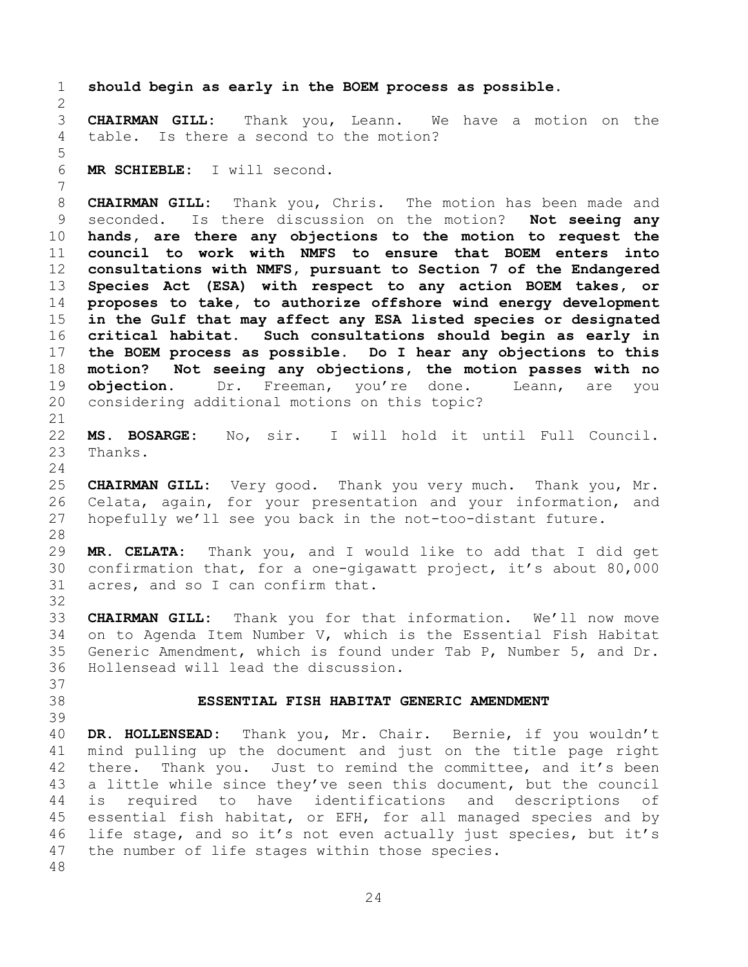<span id="page-23-1"></span><span id="page-23-0"></span> **should begin as early in the BOEM process as possible. CHAIRMAN GILL:** Thank you, Leann. We have a motion on the table. Is there a second to the motion? **MR SCHIEBLE:** I will second. **CHAIRMAN GILL:** Thank you, Chris. The motion has been made and seconded. Is there discussion on the motion? **Not seeing any hands, are there any objections to the motion to request the council to work with NMFS to ensure that BOEM enters into consultations with NMFS, pursuant to Section 7 of the Endangered Species Act (ESA) with respect to any action BOEM takes, or proposes to take, to authorize offshore wind energy development in the Gulf that may affect any ESA listed species or designated critical habitat. Such consultations should begin as early in the BOEM process as possible. Do I hear any objections to this motion? Not seeing any objections, the motion passes with no objection.** Dr. Freeman, you're done. Leann, are you considering additional motions on this topic? **MS. BOSARGE:** No, sir. I will hold it until Full Council. Thanks. **CHAIRMAN GILL:** Very good. Thank you very much. Thank you, Mr. Celata, again, for your presentation and your information, and hopefully we'll see you back in the not-too-distant future. **MR. CELATA:** Thank you, and I would like to add that I did get confirmation that, for a one-gigawatt project, it's about 80,000 acres, and so I can confirm that. **CHAIRMAN GILL:** Thank you for that information. We'll now move on to Agenda Item Number V, which is the Essential Fish Habitat Generic Amendment, which is found under Tab P, Number 5, and Dr. Hollensead will lead the discussion. **ESSENTIAL FISH HABITAT GENERIC AMENDMENT DR. HOLLENSEAD:** Thank you, Mr. Chair. Bernie, if you wouldn't mind pulling up the document and just on the title page right 42 there. Thank you. Just to remind the committee, and it's been a little while since they've seen this document, but the council is required to have identifications and descriptions of essential fish habitat, or EFH, for all managed species and by life stage, and so it's not even actually just species, but it's the number of life stages within those species.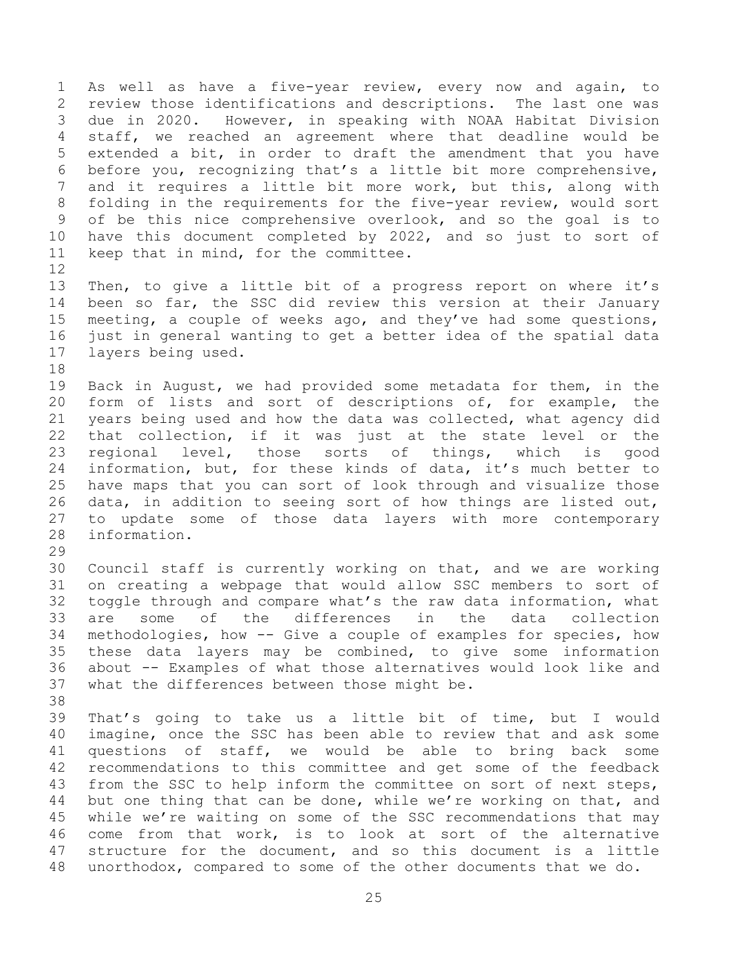As well as have a five-year review, every now and again, to review those identifications and descriptions. The last one was due in 2020. However, in speaking with NOAA Habitat Division staff, we reached an agreement where that deadline would be extended a bit, in order to draft the amendment that you have before you, recognizing that's a little bit more comprehensive, and it requires a little bit more work, but this, along with folding in the requirements for the five-year review, would sort of be this nice comprehensive overlook, and so the goal is to have this document completed by 2022, and so just to sort of keep that in mind, for the committee. 

 Then, to give a little bit of a progress report on where it's been so far, the SSC did review this version at their January meeting, a couple of weeks ago, and they've had some questions, just in general wanting to get a better idea of the spatial data layers being used. 

 Back in August, we had provided some metadata for them, in the form of lists and sort of descriptions of, for example, the years being used and how the data was collected, what agency did that collection, if it was just at the state level or the regional level, those sorts of things, which is good information, but, for these kinds of data, it's much better to have maps that you can sort of look through and visualize those data, in addition to seeing sort of how things are listed out, to update some of those data layers with more contemporary information.

 Council staff is currently working on that, and we are working on creating a webpage that would allow SSC members to sort of toggle through and compare what's the raw data information, what are some of the differences in the data collection methodologies, how -- Give a couple of examples for species, how these data layers may be combined, to give some information about -- Examples of what those alternatives would look like and what the differences between those might be.

 That's going to take us a little bit of time, but I would imagine, once the SSC has been able to review that and ask some questions of staff, we would be able to bring back some recommendations to this committee and get some of the feedback from the SSC to help inform the committee on sort of next steps, 44 but one thing that can be done, while we're working on that, and while we're waiting on some of the SSC recommendations that may come from that work, is to look at sort of the alternative structure for the document, and so this document is a little unorthodox, compared to some of the other documents that we do.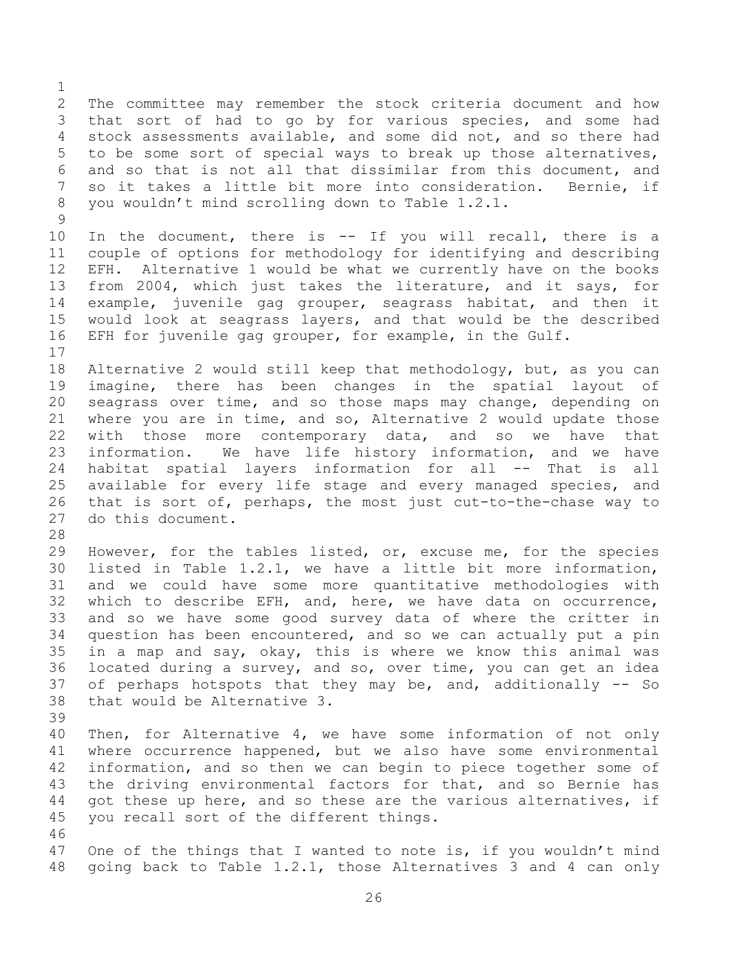The committee may remember the stock criteria document and how that sort of had to go by for various species, and some had stock assessments available, and some did not, and so there had to be some sort of special ways to break up those alternatives, and so that is not all that dissimilar from this document, and so it takes a little bit more into consideration. Bernie, if you wouldn't mind scrolling down to Table 1.2.1. 

 In the document, there is -- If you will recall, there is a couple of options for methodology for identifying and describing EFH. Alternative 1 would be what we currently have on the books from 2004, which just takes the literature, and it says, for example, juvenile gag grouper, seagrass habitat, and then it would look at seagrass layers, and that would be the described EFH for juvenile gag grouper, for example, in the Gulf.

 Alternative 2 would still keep that methodology, but, as you can imagine, there has been changes in the spatial layout of seagrass over time, and so those maps may change, depending on where you are in time, and so, Alternative 2 would update those with those more contemporary data, and so we have that information. We have life history information, and we have habitat spatial layers information for all -- That is all available for every life stage and every managed species, and that is sort of, perhaps, the most just cut-to-the-chase way to do this document.

 However, for the tables listed, or, excuse me, for the species listed in Table 1.2.1, we have a little bit more information, and we could have some more quantitative methodologies with which to describe EFH, and, here, we have data on occurrence, and so we have some good survey data of where the critter in question has been encountered, and so we can actually put a pin in a map and say, okay, this is where we know this animal was located during a survey, and so, over time, you can get an idea of perhaps hotspots that they may be, and, additionally -- So that would be Alternative 3.

 Then, for Alternative 4, we have some information of not only where occurrence happened, but we also have some environmental information, and so then we can begin to piece together some of the driving environmental factors for that, and so Bernie has got these up here, and so these are the various alternatives, if you recall sort of the different things. 

 One of the things that I wanted to note is, if you wouldn't mind going back to Table 1.2.1, those Alternatives 3 and 4 can only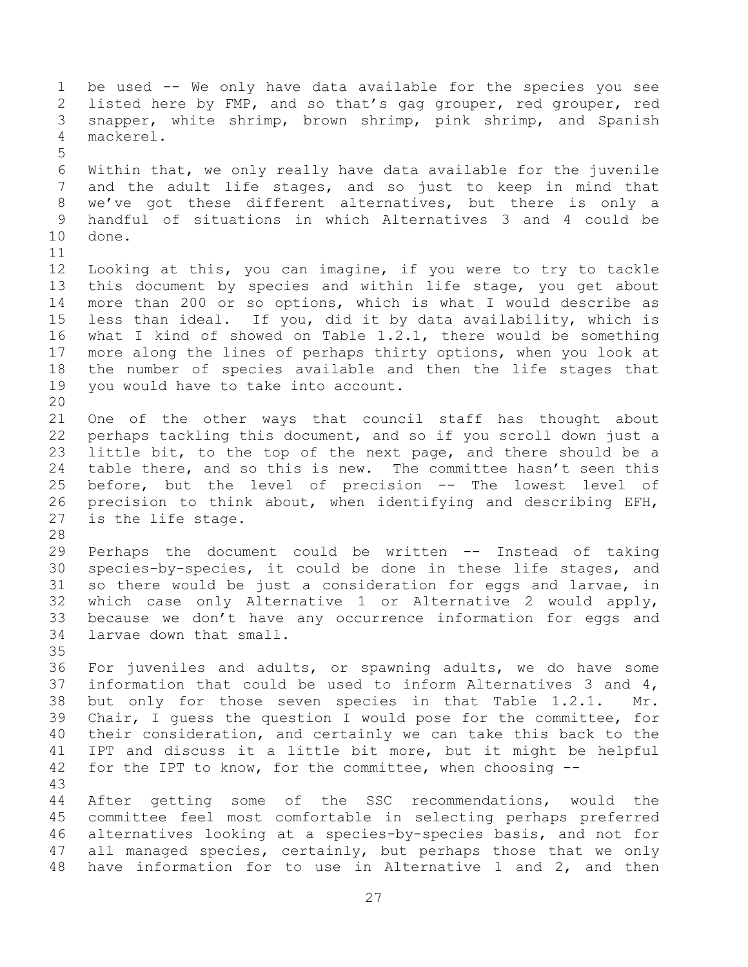be used -- We only have data available for the species you see listed here by FMP, and so that's gag grouper, red grouper, red snapper, white shrimp, brown shrimp, pink shrimp, and Spanish mackerel. Within that, we only really have data available for the juvenile and the adult life stages, and so just to keep in mind that we've got these different alternatives, but there is only a handful of situations in which Alternatives 3 and 4 could be done. Looking at this, you can imagine, if you were to try to tackle this document by species and within life stage, you get about more than 200 or so options, which is what I would describe as less than ideal. If you, did it by data availability, which is what I kind of showed on Table 1.2.1, there would be something more along the lines of perhaps thirty options, when you look at the number of species available and then the life stages that you would have to take into account. One of the other ways that council staff has thought about perhaps tackling this document, and so if you scroll down just a little bit, to the top of the next page, and there should be a table there, and so this is new. The committee hasn't seen this before, but the level of precision -- The lowest level of precision to think about, when identifying and describing EFH, is the life stage. Perhaps the document could be written -- Instead of taking species-by-species, it could be done in these life stages, and so there would be just a consideration for eggs and larvae, in which case only Alternative 1 or Alternative 2 would apply, because we don't have any occurrence information for eggs and larvae down that small. For juveniles and adults, or spawning adults, we do have some information that could be used to inform Alternatives 3 and 4, but only for those seven species in that Table 1.2.1. Mr. Chair, I guess the question I would pose for the committee, for their consideration, and certainly we can take this back to the IPT and discuss it a little bit more, but it might be helpful for the IPT to know, for the committee, when choosing -- After getting some of the SSC recommendations, would the committee feel most comfortable in selecting perhaps preferred alternatives looking at a species-by-species basis, and not for all managed species, certainly, but perhaps those that we only have information for to use in Alternative 1 and 2, and then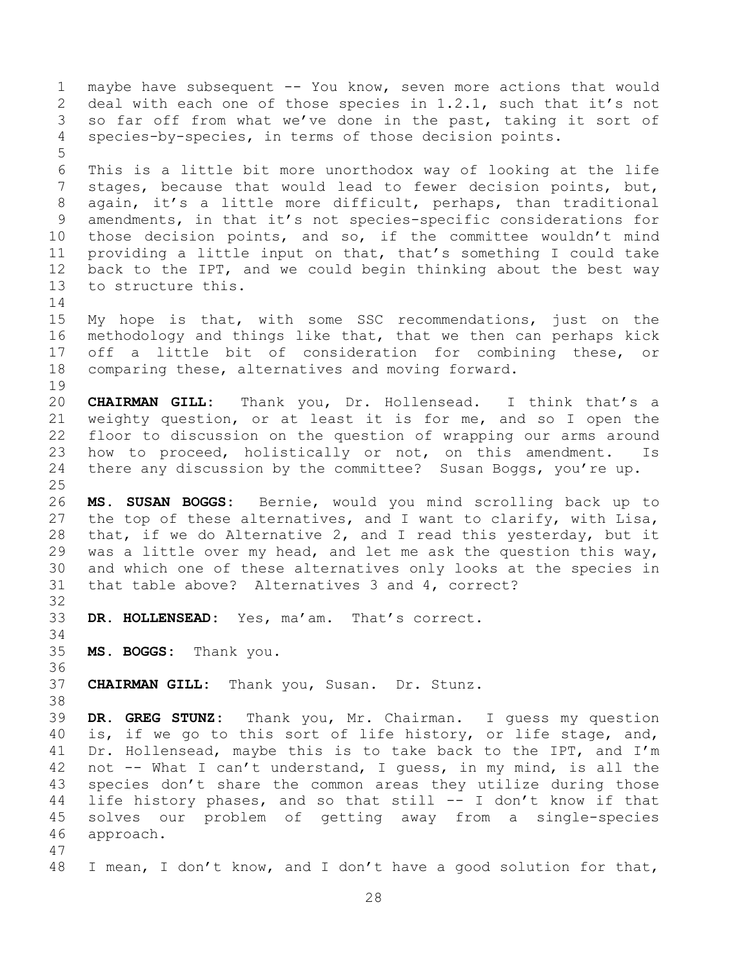maybe have subsequent -- You know, seven more actions that would deal with each one of those species in 1.2.1, such that it's not so far off from what we've done in the past, taking it sort of species-by-species, in terms of those decision points. This is a little bit more unorthodox way of looking at the life stages, because that would lead to fewer decision points, but, again, it's a little more difficult, perhaps, than traditional amendments, in that it's not species-specific considerations for those decision points, and so, if the committee wouldn't mind providing a little input on that, that's something I could take back to the IPT, and we could begin thinking about the best way to structure this. 15 My hope is that, with some SSC recommendations, just on the methodology and things like that, that we then can perhaps kick off a little bit of consideration for combining these, or comparing these, alternatives and moving forward. **CHAIRMAN GILL:** Thank you, Dr. Hollensead. I think that's a weighty question, or at least it is for me, and so I open the floor to discussion on the question of wrapping our arms around how to proceed, holistically or not, on this amendment. Is there any discussion by the committee? Susan Boggs, you're up. **MS. SUSAN BOGGS:** Bernie, would you mind scrolling back up to the top of these alternatives, and I want to clarify, with Lisa, that, if we do Alternative 2, and I read this yesterday, but it was a little over my head, and let me ask the question this way, and which one of these alternatives only looks at the species in that table above? Alternatives 3 and 4, correct? **DR. HOLLENSEAD:** Yes, ma'am. That's correct. **MS. BOGGS:** Thank you. **CHAIRMAN GILL:** Thank you, Susan. Dr. Stunz. **DR. GREG STUNZ:** Thank you, Mr. Chairman. I guess my question is, if we go to this sort of life history, or life stage, and, Dr. Hollensead, maybe this is to take back to the IPT, and I'm not -- What I can't understand, I guess, in my mind, is all the species don't share the common areas they utilize during those life history phases, and so that still -- I don't know if that solves our problem of getting away from a single-species approach. I mean, I don't know, and I don't have a good solution for that,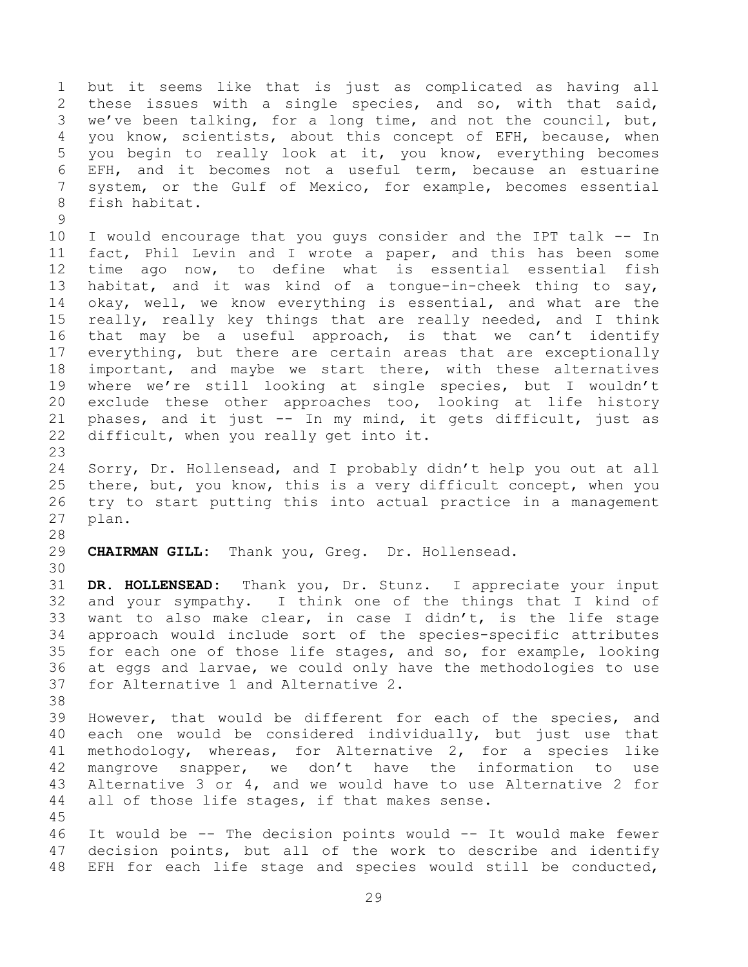but it seems like that is just as complicated as having all these issues with a single species, and so, with that said, we've been talking, for a long time, and not the council, but, you know, scientists, about this concept of EFH, because, when you begin to really look at it, you know, everything becomes EFH, and it becomes not a useful term, because an estuarine system, or the Gulf of Mexico, for example, becomes essential fish habitat.

 I would encourage that you guys consider and the IPT talk -- In fact, Phil Levin and I wrote a paper, and this has been some time ago now, to define what is essential essential fish habitat, and it was kind of a tongue-in-cheek thing to say, okay, well, we know everything is essential, and what are the really, really key things that are really needed, and I think that may be a useful approach, is that we can't identify everything, but there are certain areas that are exceptionally important, and maybe we start there, with these alternatives where we're still looking at single species, but I wouldn't exclude these other approaches too, looking at life history phases, and it just -- In my mind, it gets difficult, just as difficult, when you really get into it.

 Sorry, Dr. Hollensead, and I probably didn't help you out at all there, but, you know, this is a very difficult concept, when you try to start putting this into actual practice in a management plan.

**CHAIRMAN GILL:** Thank you, Greg. Dr. Hollensead.

 **DR. HOLLENSEAD:** Thank you, Dr. Stunz. I appreciate your input and your sympathy. I think one of the things that I kind of want to also make clear, in case I didn't, is the life stage approach would include sort of the species-specific attributes for each one of those life stages, and so, for example, looking at eggs and larvae, we could only have the methodologies to use for Alternative 1 and Alternative 2.

 However, that would be different for each of the species, and each one would be considered individually, but just use that methodology, whereas, for Alternative 2, for a species like mangrove snapper, we don't have the information to use Alternative 3 or 4, and we would have to use Alternative 2 for 44 all of those life stages, if that makes sense.

 It would be -- The decision points would -- It would make fewer decision points, but all of the work to describe and identify EFH for each life stage and species would still be conducted,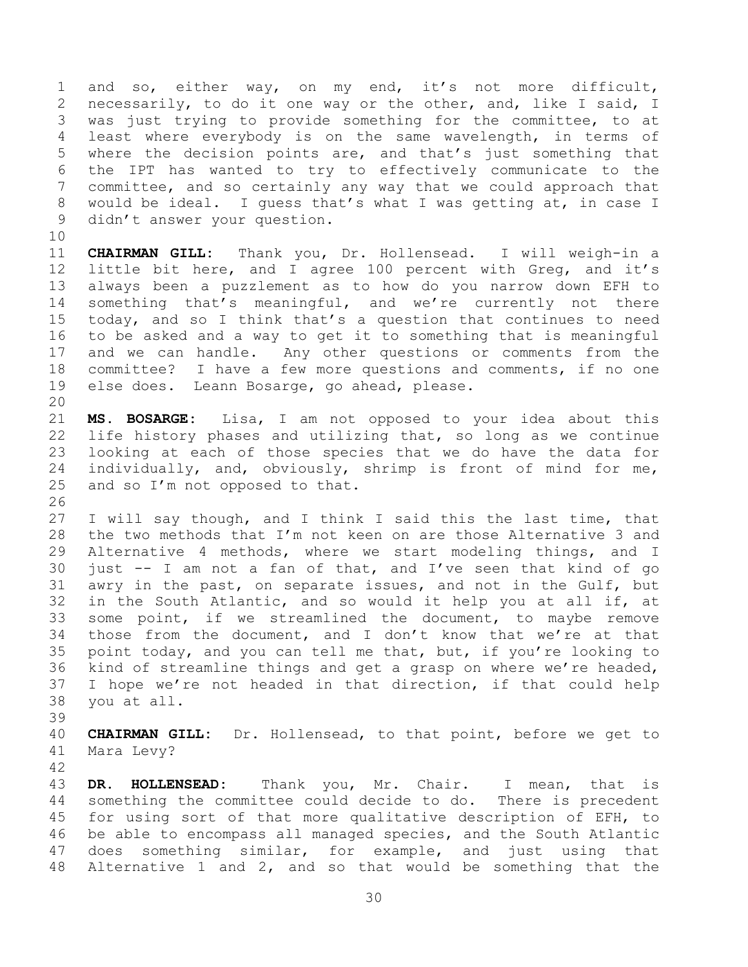and so, either way, on my end, it's not more difficult, necessarily, to do it one way or the other, and, like I said, I was just trying to provide something for the committee, to at least where everybody is on the same wavelength, in terms of where the decision points are, and that's just something that the IPT has wanted to try to effectively communicate to the committee, and so certainly any way that we could approach that would be ideal. I guess that's what I was getting at, in case I didn't answer your question.

 **CHAIRMAN GILL:** Thank you, Dr. Hollensead. I will weigh-in a little bit here, and I agree 100 percent with Greg, and it's always been a puzzlement as to how do you narrow down EFH to something that's meaningful, and we're currently not there today, and so I think that's a question that continues to need to be asked and a way to get it to something that is meaningful and we can handle. Any other questions or comments from the committee? I have a few more questions and comments, if no one else does. Leann Bosarge, go ahead, please. 

 **MS. BOSARGE:** Lisa, I am not opposed to your idea about this life history phases and utilizing that, so long as we continue looking at each of those species that we do have the data for individually, and, obviously, shrimp is front of mind for me, and so I'm not opposed to that.

 I will say though, and I think I said this the last time, that the two methods that I'm not keen on are those Alternative 3 and Alternative 4 methods, where we start modeling things, and I just -- I am not a fan of that, and I've seen that kind of go awry in the past, on separate issues, and not in the Gulf, but in the South Atlantic, and so would it help you at all if, at some point, if we streamlined the document, to maybe remove those from the document, and I don't know that we're at that point today, and you can tell me that, but, if you're looking to kind of streamline things and get a grasp on where we're headed, I hope we're not headed in that direction, if that could help you at all.

 **CHAIRMAN GILL:** Dr. Hollensead, to that point, before we get to Mara Levy?

 **DR. HOLLENSEAD:** Thank you, Mr. Chair. I mean, that is something the committee could decide to do. There is precedent for using sort of that more qualitative description of EFH, to be able to encompass all managed species, and the South Atlantic does something similar, for example, and just using that Alternative 1 and 2, and so that would be something that the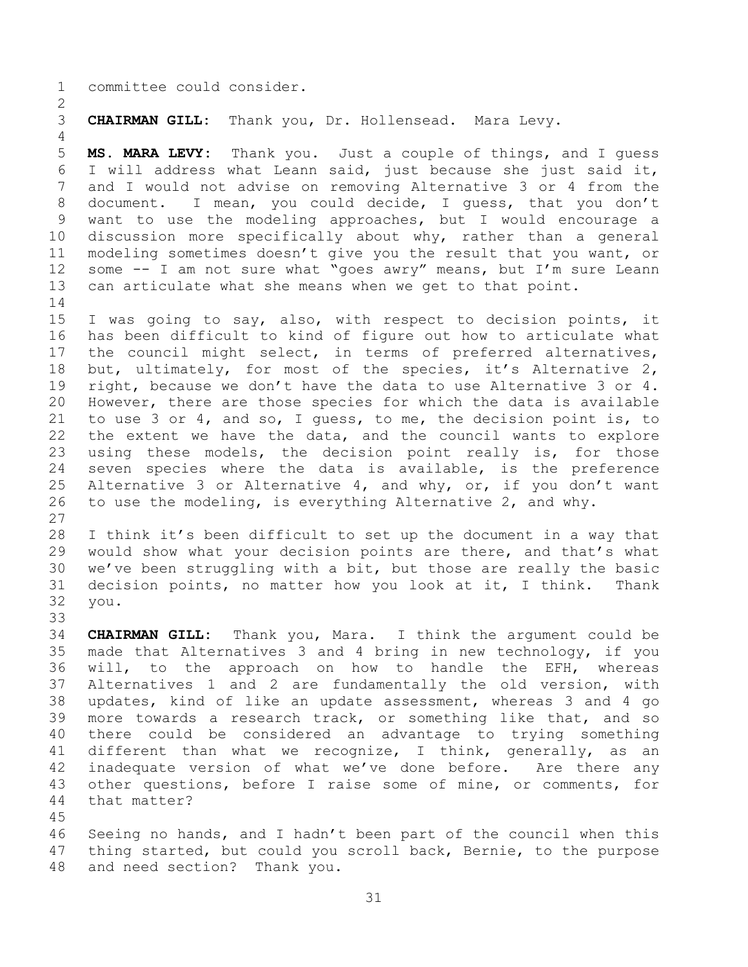committee could consider.

**CHAIRMAN GILL:** Thank you, Dr. Hollensead. Mara Levy.

 **MS. MARA LEVY:** Thank you. Just a couple of things, and I guess I will address what Leann said, just because she just said it, and I would not advise on removing Alternative 3 or 4 from the document. I mean, you could decide, I guess, that you don't want to use the modeling approaches, but I would encourage a discussion more specifically about why, rather than a general modeling sometimes doesn't give you the result that you want, or some -- I am not sure what "goes awry" means, but I'm sure Leann can articulate what she means when we get to that point. 

 I was going to say, also, with respect to decision points, it has been difficult to kind of figure out how to articulate what the council might select, in terms of preferred alternatives, but, ultimately, for most of the species, it's Alternative 2, right, because we don't have the data to use Alternative 3 or 4. However, there are those species for which the data is available to use 3 or 4, and so, I guess, to me, the decision point is, to the extent we have the data, and the council wants to explore using these models, the decision point really is, for those seven species where the data is available, is the preference Alternative 3 or Alternative 4, and why, or, if you don't want to use the modeling, is everything Alternative 2, and why. 

 I think it's been difficult to set up the document in a way that would show what your decision points are there, and that's what we've been struggling with a bit, but those are really the basic decision points, no matter how you look at it, I think. Thank you.

 **CHAIRMAN GILL:** Thank you, Mara. I think the argument could be made that Alternatives 3 and 4 bring in new technology, if you will, to the approach on how to handle the EFH, whereas Alternatives 1 and 2 are fundamentally the old version, with updates, kind of like an update assessment, whereas 3 and 4 go more towards a research track, or something like that, and so there could be considered an advantage to trying something different than what we recognize, I think, generally, as an inadequate version of what we've done before. Are there any other questions, before I raise some of mine, or comments, for that matter?

 Seeing no hands, and I hadn't been part of the council when this thing started, but could you scroll back, Bernie, to the purpose and need section? Thank you.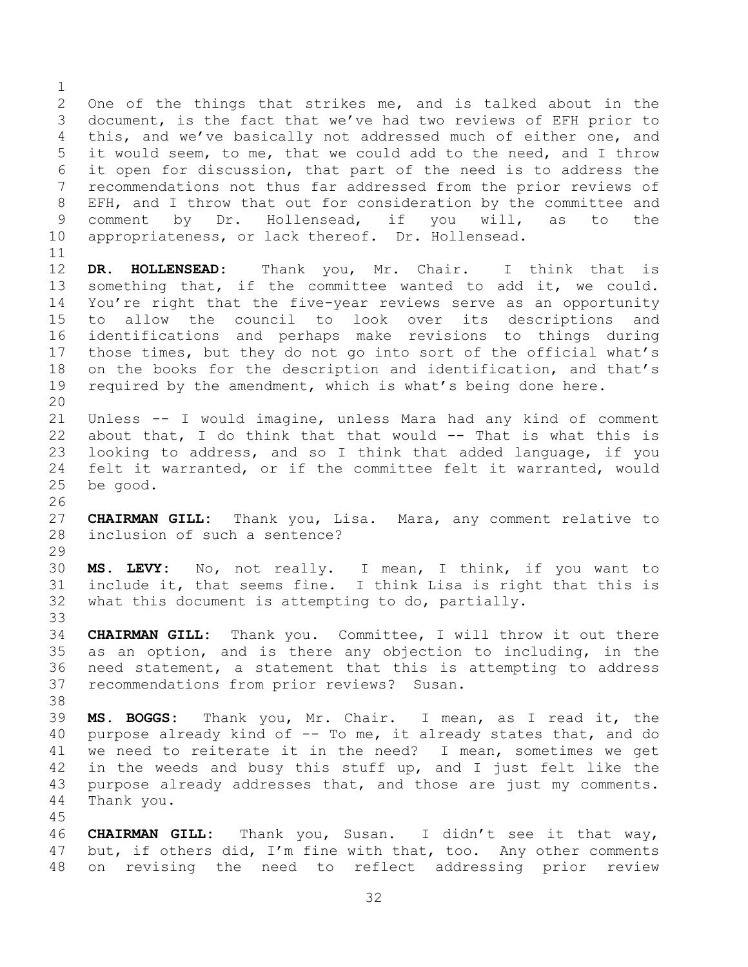One of the things that strikes me, and is talked about in the document, is the fact that we've had two reviews of EFH prior to this, and we've basically not addressed much of either one, and it would seem, to me, that we could add to the need, and I throw it open for discussion, that part of the need is to address the recommendations not thus far addressed from the prior reviews of EFH, and I throw that out for consideration by the committee and comment by Dr. Hollensead, if you will, as to the appropriateness, or lack thereof. Dr. Hollensead. **DR. HOLLENSEAD:** Thank you, Mr. Chair. I think that is something that, if the committee wanted to add it, we could. You're right that the five-year reviews serve as an opportunity to allow the council to look over its descriptions and identifications and perhaps make revisions to things during those times, but they do not go into sort of the official what's on the books for the description and identification, and that's required by the amendment, which is what's being done here. Unless -- I would imagine, unless Mara had any kind of comment about that, I do think that that would -- That is what this is looking to address, and so I think that added language, if you felt it warranted, or if the committee felt it warranted, would be good. **CHAIRMAN GILL:** Thank you, Lisa. Mara, any comment relative to inclusion of such a sentence? **MS. LEVY:** No, not really. I mean, I think, if you want to include it, that seems fine. I think Lisa is right that this is what this document is attempting to do, partially. **CHAIRMAN GILL:** Thank you. Committee, I will throw it out there as an option, and is there any objection to including, in the need statement, a statement that this is attempting to address recommendations from prior reviews? Susan. **MS. BOGGS:** Thank you, Mr. Chair. I mean, as I read it, the 40 purpose already kind of -- To me, it already states that, and do we need to reiterate it in the need? I mean, sometimes we get 42 in the weeds and busy this stuff up, and I just felt like the purpose already addresses that, and those are just my comments. Thank you. **CHAIRMAN GILL:** Thank you, Susan. I didn't see it that way, but, if others did, I'm fine with that, too. Any other comments

on revising the need to reflect addressing prior review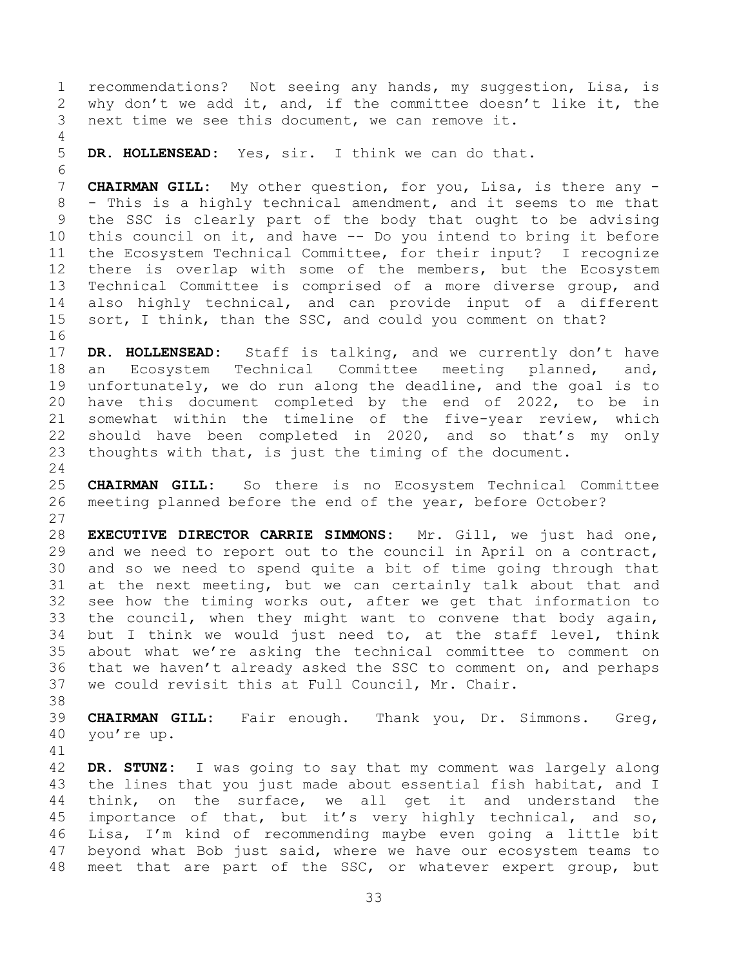recommendations? Not seeing any hands, my suggestion, Lisa, is why don't we add it, and, if the committee doesn't like it, the next time we see this document, we can remove it.

**DR. HOLLENSEAD:** Yes, sir. I think we can do that.

 **CHAIRMAN GILL:** My other question, for you, Lisa, is there any - - This is a highly technical amendment, and it seems to me that the SSC is clearly part of the body that ought to be advising this council on it, and have -- Do you intend to bring it before the Ecosystem Technical Committee, for their input? I recognize there is overlap with some of the members, but the Ecosystem Technical Committee is comprised of a more diverse group, and also highly technical, and can provide input of a different 15 sort, I think, than the SSC, and could you comment on that? 

 **DR. HOLLENSEAD:** Staff is talking, and we currently don't have an Ecosystem Technical Committee meeting planned, and, unfortunately, we do run along the deadline, and the goal is to have this document completed by the end of 2022, to be in somewhat within the timeline of the five-year review, which should have been completed in 2020, and so that's my only thoughts with that, is just the timing of the document.

 **CHAIRMAN GILL:** So there is no Ecosystem Technical Committee meeting planned before the end of the year, before October? 

 **EXECUTIVE DIRECTOR CARRIE SIMMONS:** Mr. Gill, we just had one, and we need to report out to the council in April on a contract, and so we need to spend quite a bit of time going through that at the next meeting, but we can certainly talk about that and see how the timing works out, after we get that information to the council, when they might want to convene that body again, but I think we would just need to, at the staff level, think about what we're asking the technical committee to comment on that we haven't already asked the SSC to comment on, and perhaps we could revisit this at Full Council, Mr. Chair.

 **CHAIRMAN GILL:** Fair enough. Thank you, Dr. Simmons. Greg, you're up.

 **DR. STUNZ:** I was going to say that my comment was largely along 43 the lines that you just made about essential fish habitat, and I think, on the surface, we all get it and understand the importance of that, but it's very highly technical, and so, Lisa, I'm kind of recommending maybe even going a little bit beyond what Bob just said, where we have our ecosystem teams to meet that are part of the SSC, or whatever expert group, but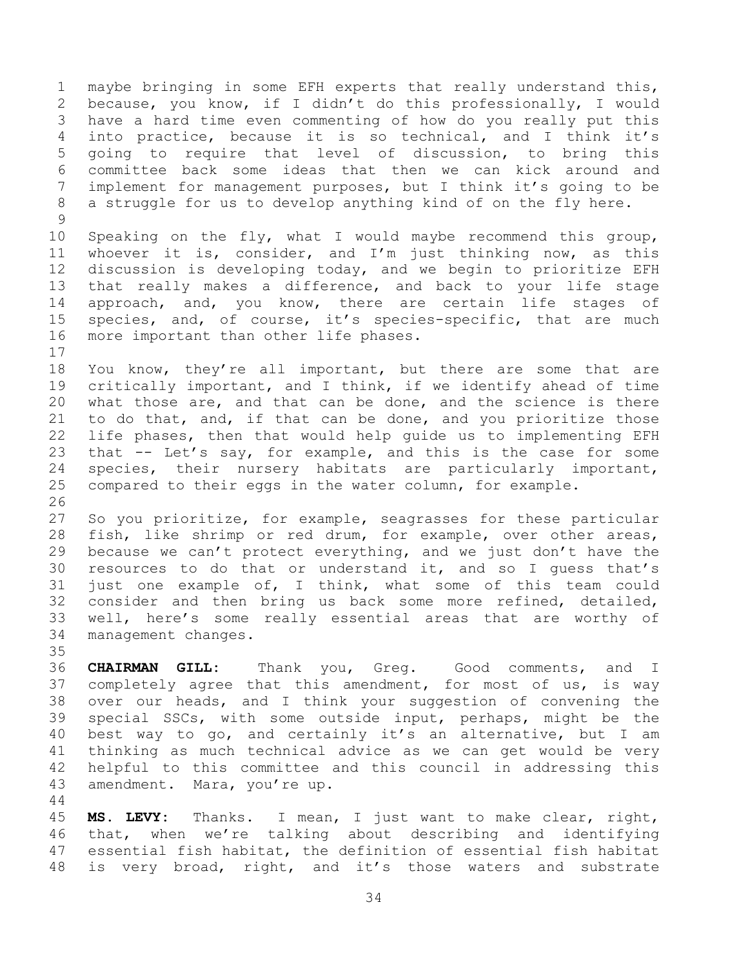maybe bringing in some EFH experts that really understand this, because, you know, if I didn't do this professionally, I would have a hard time even commenting of how do you really put this into practice, because it is so technical, and I think it's going to require that level of discussion, to bring this committee back some ideas that then we can kick around and implement for management purposes, but I think it's going to be a struggle for us to develop anything kind of on the fly here. 

 Speaking on the fly, what I would maybe recommend this group, whoever it is, consider, and I'm just thinking now, as this discussion is developing today, and we begin to prioritize EFH that really makes a difference, and back to your life stage approach, and, you know, there are certain life stages of species, and, of course, it's species-specific, that are much more important than other life phases.

 You know, they're all important, but there are some that are critically important, and I think, if we identify ahead of time what those are, and that can be done, and the science is there to do that, and, if that can be done, and you prioritize those life phases, then that would help guide us to implementing EFH that -- Let's say, for example, and this is the case for some species, their nursery habitats are particularly important, compared to their eggs in the water column, for example. 

 So you prioritize, for example, seagrasses for these particular fish, like shrimp or red drum, for example, over other areas, because we can't protect everything, and we just don't have the resources to do that or understand it, and so I guess that's just one example of, I think, what some of this team could consider and then bring us back some more refined, detailed, well, here's some really essential areas that are worthy of management changes. 

 **CHAIRMAN GILL:** Thank you, Greg. Good comments, and I completely agree that this amendment, for most of us, is way over our heads, and I think your suggestion of convening the special SSCs, with some outside input, perhaps, might be the best way to go, and certainly it's an alternative, but I am thinking as much technical advice as we can get would be very helpful to this committee and this council in addressing this amendment. Mara, you're up.

 **MS. LEVY:** Thanks. I mean, I just want to make clear, right, that, when we're talking about describing and identifying essential fish habitat, the definition of essential fish habitat is very broad, right, and it's those waters and substrate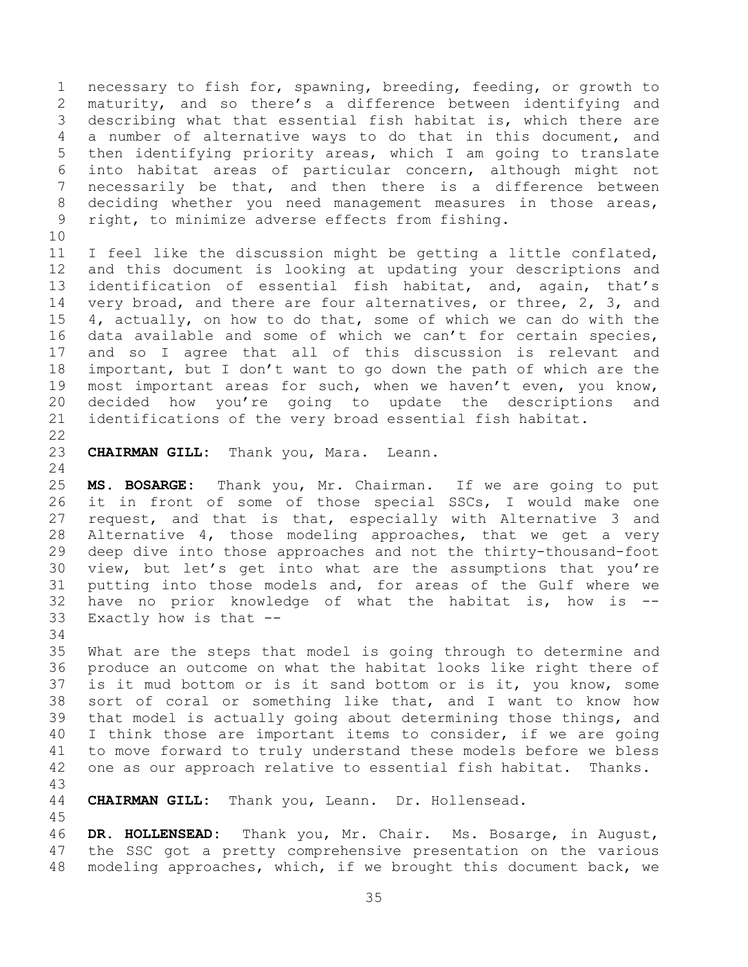necessary to fish for, spawning, breeding, feeding, or growth to maturity, and so there's a difference between identifying and describing what that essential fish habitat is, which there are a number of alternative ways to do that in this document, and then identifying priority areas, which I am going to translate into habitat areas of particular concern, although might not necessarily be that, and then there is a difference between deciding whether you need management measures in those areas, right, to minimize adverse effects from fishing.

 I feel like the discussion might be getting a little conflated, and this document is looking at updating your descriptions and identification of essential fish habitat, and, again, that's 14 very broad, and there are four alternatives, or three, 2, 3, and 4, actually, on how to do that, some of which we can do with the data available and some of which we can't for certain species, and so I agree that all of this discussion is relevant and important, but I don't want to go down the path of which are the most important areas for such, when we haven't even, you know, decided how you're going to update the descriptions and identifications of the very broad essential fish habitat.

**CHAIRMAN GILL:** Thank you, Mara. Leann.

 **MS. BOSARGE:** Thank you, Mr. Chairman. If we are going to put it in front of some of those special SSCs, I would make one request, and that is that, especially with Alternative 3 and Alternative 4, those modeling approaches, that we get a very deep dive into those approaches and not the thirty-thousand-foot view, but let's get into what are the assumptions that you're putting into those models and, for areas of the Gulf where we have no prior knowledge of what the habitat is, how is -- Exactly how is that --

 What are the steps that model is going through to determine and produce an outcome on what the habitat looks like right there of is it mud bottom or is it sand bottom or is it, you know, some sort of coral or something like that, and I want to know how that model is actually going about determining those things, and I think those are important items to consider, if we are going to move forward to truly understand these models before we bless one as our approach relative to essential fish habitat. Thanks.

## 

**CHAIRMAN GILL:** Thank you, Leann. Dr. Hollensead.

 **DR. HOLLENSEAD:** Thank you, Mr. Chair. Ms. Bosarge, in August, the SSC got a pretty comprehensive presentation on the various modeling approaches, which, if we brought this document back, we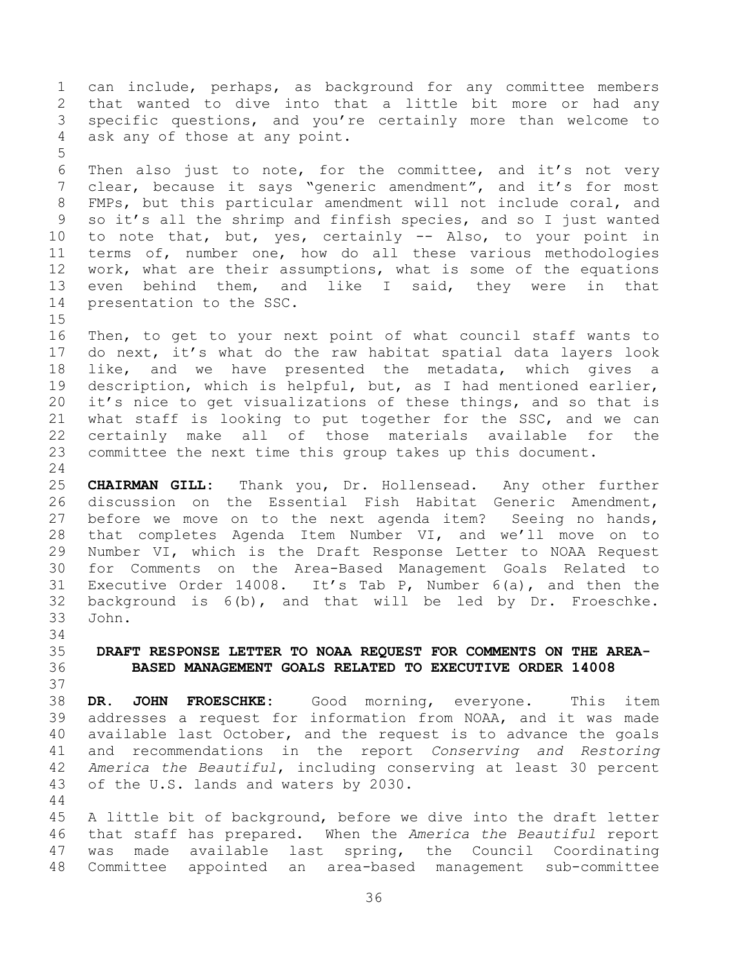can include, perhaps, as background for any committee members that wanted to dive into that a little bit more or had any specific questions, and you're certainly more than welcome to ask any of those at any point. Then also just to note, for the committee, and it's not very clear, because it says "generic amendment", and it's for most FMPs, but this particular amendment will not include coral, and so it's all the shrimp and finfish species, and so I just wanted to note that, but, yes, certainly -- Also, to your point in terms of, number one, how do all these various methodologies work, what are their assumptions, what is some of the equations even behind them, and like I said, they were in that presentation to the SSC. Then, to get to your next point of what council staff wants to do next, it's what do the raw habitat spatial data layers look like, and we have presented the metadata, which gives a description, which is helpful, but, as I had mentioned earlier, it's nice to get visualizations of these things, and so that is what staff is looking to put together for the SSC, and we can certainly make all of those materials available for the

 committee the next time this group takes up this document. 

 **CHAIRMAN GILL:** Thank you, Dr. Hollensead. Any other further discussion on the Essential Fish Habitat Generic Amendment, before we move on to the next agenda item? Seeing no hands, that completes Agenda Item Number VI, and we'll move on to Number VI, which is the Draft Response Letter to NOAA Request for Comments on the Area-Based Management Goals Related to Executive Order 14008. It's Tab P, Number 6(a), and then the background is 6(b), and that will be led by Dr. Froeschke. John.

<span id="page-35-0"></span> **DRAFT RESPONSE LETTER TO NOAA REQUEST FOR COMMENTS ON THE AREA-BASED MANAGEMENT GOALS RELATED TO EXECUTIVE ORDER 14008**

 **DR. JOHN FROESCHKE:** Good morning, everyone. This item addresses a request for information from NOAA, and it was made available last October, and the request is to advance the goals and recommendations in the report *Conserving and Restoring America the Beautiful*, including conserving at least 30 percent of the U.S. lands and waters by 2030.

 A little bit of background, before we dive into the draft letter that staff has prepared. When the *America the Beautiful* report was made available last spring, the Council Coordinating Committee appointed an area-based management sub-committee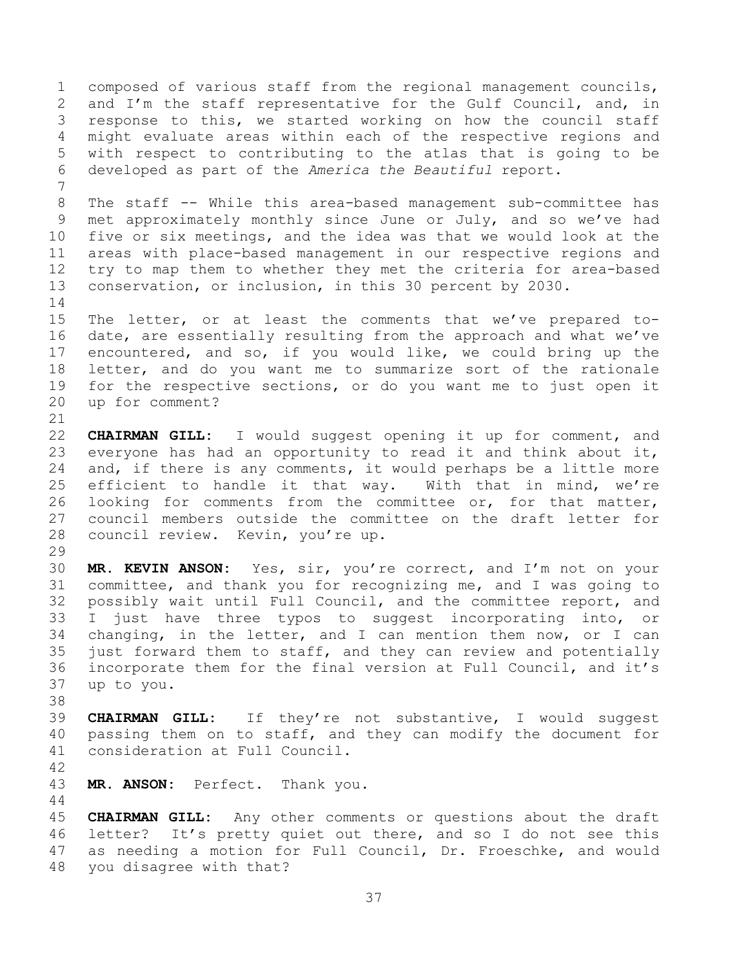composed of various staff from the regional management councils, and I'm the staff representative for the Gulf Council, and, in response to this, we started working on how the council staff might evaluate areas within each of the respective regions and with respect to contributing to the atlas that is going to be developed as part of the *America the Beautiful* report. 

 The staff -- While this area-based management sub-committee has met approximately monthly since June or July, and so we've had five or six meetings, and the idea was that we would look at the areas with place-based management in our respective regions and try to map them to whether they met the criteria for area-based conservation, or inclusion, in this 30 percent by 2030. 

 The letter, or at least the comments that we've prepared to- date, are essentially resulting from the approach and what we've encountered, and so, if you would like, we could bring up the letter, and do you want me to summarize sort of the rationale for the respective sections, or do you want me to just open it up for comment?

 **CHAIRMAN GILL:** I would suggest opening it up for comment, and everyone has had an opportunity to read it and think about it, 24 and, if there is any comments, it would perhaps be a little more efficient to handle it that way. With that in mind, we're looking for comments from the committee or, for that matter, council members outside the committee on the draft letter for council review. Kevin, you're up.

 **MR. KEVIN ANSON:** Yes, sir, you're correct, and I'm not on your committee, and thank you for recognizing me, and I was going to possibly wait until Full Council, and the committee report, and I just have three typos to suggest incorporating into, or changing, in the letter, and I can mention them now, or I can just forward them to staff, and they can review and potentially incorporate them for the final version at Full Council, and it's up to you.

 **CHAIRMAN GILL:** If they're not substantive, I would suggest passing them on to staff, and they can modify the document for consideration at Full Council.

**MR. ANSON:** Perfect. Thank you.

 **CHAIRMAN GILL:** Any other comments or questions about the draft letter? It's pretty quiet out there, and so I do not see this as needing a motion for Full Council, Dr. Froeschke, and would you disagree with that?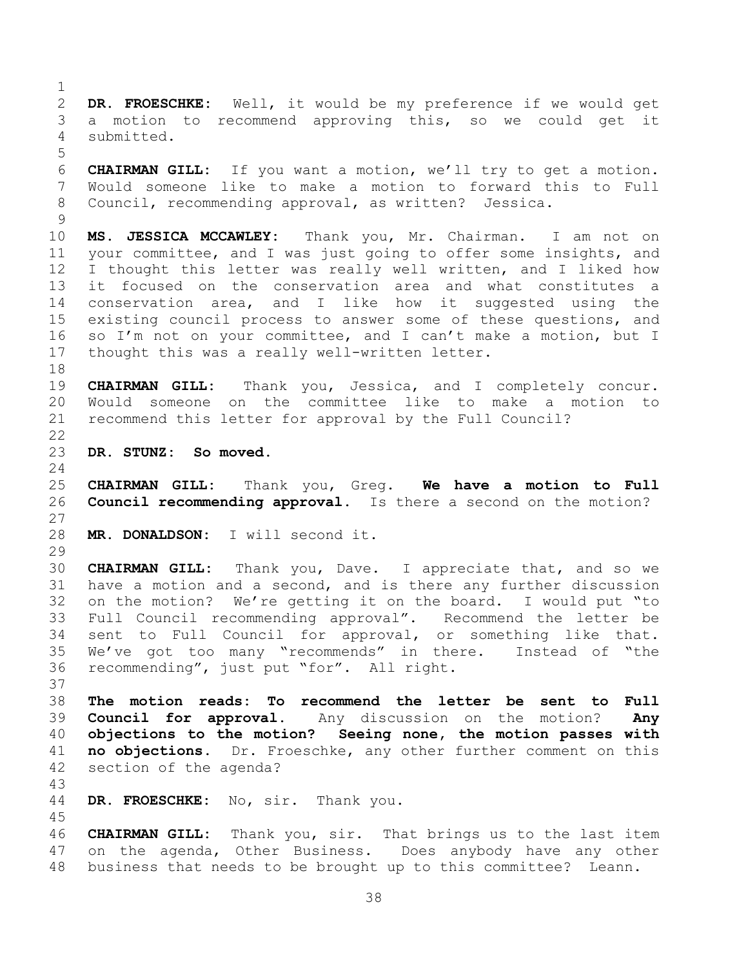**DR. FROESCHKE:** Well, it would be my preference if we would get a motion to recommend approving this, so we could get it submitted.

 **CHAIRMAN GILL:** If you want a motion, we'll try to get a motion. Would someone like to make a motion to forward this to Full Council, recommending approval, as written? Jessica.

 **MS. JESSICA MCCAWLEY:** Thank you, Mr. Chairman. I am not on your committee, and I was just going to offer some insights, and I thought this letter was really well written, and I liked how it focused on the conservation area and what constitutes a conservation area, and I like how it suggested using the existing council process to answer some of these questions, and so I'm not on your committee, and I can't make a motion, but I thought this was a really well-written letter.

 **CHAIRMAN GILL:** Thank you, Jessica, and I completely concur. Would someone on the committee like to make a motion to recommend this letter for approval by the Full Council? 

<span id="page-37-0"></span>**DR. STUNZ: So moved.**

 **CHAIRMAN GILL:** Thank you, Greg. **We have a motion to Full Council recommending approval.** Is there a second on the motion? 

```
28 MR. DONALDSON: I will second it.
```
 **CHAIRMAN GILL:** Thank you, Dave. I appreciate that, and so we have a motion and a second, and is there any further discussion on the motion? We're getting it on the board. I would put "to Full Council recommending approval". Recommend the letter be sent to Full Council for approval, or something like that. We've got too many "recommends" in there. Instead of "the recommending", just put "for". All right.

<span id="page-37-1"></span> **The motion reads: To recommend the letter be sent to Full Council for approval.** Any discussion on the motion? **Any objections to the motion? Seeing none, the motion passes with no objections.** Dr. Froeschke, any other further comment on this section of the agenda?

**DR. FROESCHKE:** No, sir. Thank you.

 **CHAIRMAN GILL:** Thank you, sir. That brings us to the last item on the agenda, Other Business. Does anybody have any other business that needs to be brought up to this committee? Leann.